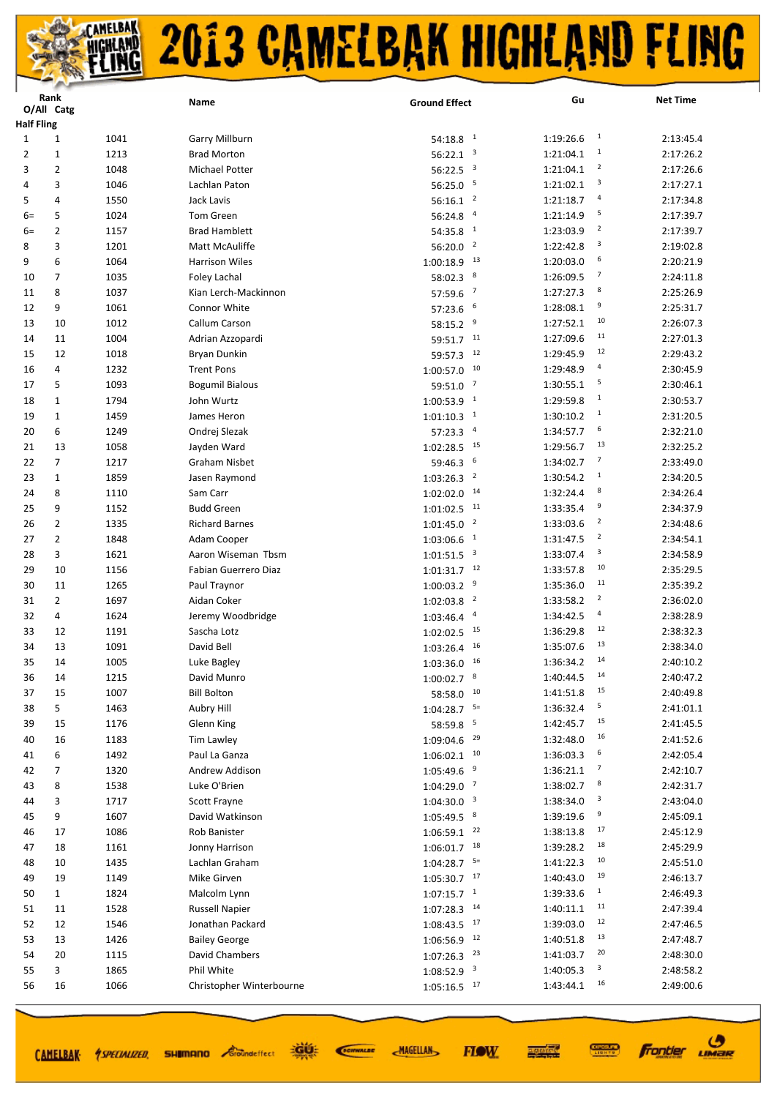|      | Rank                            |              | Name                     | <b>Ground Effect</b>                     | Gu                          | <b>Net Time</b> |  |  |
|------|---------------------------------|--------------|--------------------------|------------------------------------------|-----------------------------|-----------------|--|--|
|      | O/All Catg<br><b>Half Fling</b> |              |                          |                                          |                             |                 |  |  |
| 1    | $\mathbf 1$                     | 1041         | Garry Millburn           | $54:18.8$ <sup>1</sup>                   | $\mathbf{1}$<br>1:19:26.6   | 2:13:45.4       |  |  |
| 2    | $\mathbf{1}$                    | 1213         | <b>Brad Morton</b>       | $\overline{\mathbf{3}}$                  | 1<br>1:21:04.1              | 2:17:26.2       |  |  |
| 3    | 2                               | 1048         | <b>Michael Potter</b>    | 56:22.1<br>$56:22.5$ <sup>3</sup>        | $\overline{2}$<br>1:21:04.1 | 2:17:26.6       |  |  |
| 4    |                                 |              | Lachlan Paton            | 5                                        | 3<br>1:21:02.1              | 2:17:27.1       |  |  |
| 5    | 3<br>4                          | 1046<br>1550 | Jack Lavis               | 56:25.0                                  | 4<br>1:21:18.7              | 2:17:34.8       |  |  |
|      |                                 |              | Tom Green                | $56:16.1$ <sup>2</sup><br>$\overline{a}$ | 5                           |                 |  |  |
| $6=$ | 5                               | 1024         | <b>Brad Hamblett</b>     | 56:24.8<br>$\mathbf{1}$                  | 1:21:14.9<br>2<br>1:23:03.9 | 2:17:39.7       |  |  |
| $6=$ | 2                               | 1157         |                          | 54:35.8<br>$\overline{2}$                | 3                           | 2:17:39.7       |  |  |
| 8    | 3                               | 1201         | Matt McAuliffe           | 56:20.0<br>13                            | 1:22:42.8<br>6              | 2:19:02.8       |  |  |
| 9    | 6                               | 1064         | <b>Harrison Wiles</b>    | 1:00:18.9                                | 1:20:03.0<br>$\overline{7}$ | 2:20:21.9       |  |  |
| 10   | 7                               | 1035         | Foley Lachal             | 8<br>58:02.3                             | 1:26:09.5<br>8              | 2:24:11.8       |  |  |
| 11   | 8                               | 1037         | Kian Lerch-Mackinnon     | $\overline{7}$<br>57:59.6                | 1:27:27.3<br>9              | 2:25:26.9       |  |  |
| 12   | 9                               | 1061         | Connor White             | 6<br>57:23.6                             | 1:28:08.1<br>10             | 2:25:31.7       |  |  |
| 13   | 10                              | 1012         | Callum Carson            | 9<br>58:15.2                             | 1:27:52.1<br>11             | 2:26:07.3       |  |  |
| 14   | 11                              | 1004         | Adrian Azzopardi         | 11<br>59:51.7                            | 1:27:09.6                   | 2:27:01.3       |  |  |
| 15   | 12                              | 1018         | <b>Bryan Dunkin</b>      | 12<br>59:57.3                            | 12<br>1:29:45.9             | 2:29:43.2       |  |  |
| 16   | 4                               | 1232         | <b>Trent Pons</b>        | 10<br>1:00:57.0                          | 4<br>1:29:48.9              | 2:30:45.9       |  |  |
| 17   | 5                               | 1093         | <b>Bogumil Bialous</b>   | $\overline{7}$<br>59:51.0                | 5<br>1:30:55.1              | 2:30:46.1       |  |  |
| 18   | 1                               | 1794         | John Wurtz               | $\overline{\phantom{0}}$<br>1:00:53.9    | $\mathbf{1}$<br>1:29:59.8   | 2:30:53.7       |  |  |
| 19   | $\mathbf{1}$                    | 1459         | James Heron              | $\mathbf{1}$<br>1:01:10.3                | $\mathbf{1}$<br>1:30:10.2   | 2:31:20.5       |  |  |
| 20   | 6                               | 1249         | Ondrej Slezak            | 57:23.3<br>$\overline{a}$                | 6<br>1:34:57.7              | 2:32:21.0       |  |  |
| 21   | 13                              | 1058         | Jayden Ward              | 15<br>1:02:28.5                          | 13<br>1:29:56.7             | 2:32:25.2       |  |  |
| 22   | 7                               | 1217         | <b>Graham Nisbet</b>     | 6<br>59:46.3                             | $\overline{7}$<br>1:34:02.7 | 2:33:49.0       |  |  |
| 23   | $\mathbf{1}$                    | 1859         | Jasen Raymond            | $\overline{2}$<br>1:03:26.3              | $\mathbf{1}$<br>1:30:54.2   | 2:34:20.5       |  |  |
| 24   | 8                               | 1110         | Sam Carr                 | 14<br>1:02:02.0                          | 8<br>1:32:24.4              | 2:34:26.4       |  |  |
| 25   | 9                               | 1152         | <b>Budd Green</b>        | 11<br>1:01:02.5                          | 9<br>1:33:35.4              | 2:34:37.9       |  |  |
| 26   | $\overline{2}$                  | 1335         | <b>Richard Barnes</b>    | $\overline{2}$<br>1:01:45.0              | $\overline{2}$<br>1:33:03.6 | 2:34:48.6       |  |  |
| 27   | $\overline{2}$                  | 1848         | Adam Cooper              | $\mathbf{1}$<br>1:03:06.6                | $\overline{2}$<br>1:31:47.5 | 2:34:54.1       |  |  |
| 28   | 3                               | 1621         | Aaron Wiseman Tbsm       | $\overline{\mathbf{3}}$<br>1:01:51.5     | 3<br>1:33:07.4              | 2:34:58.9       |  |  |
| 29   | 10                              | 1156         | Fabian Guerrero Diaz     | $1:01:31.7$ <sup>12</sup>                | 10<br>1:33:57.8             | 2:35:29.5       |  |  |
| 30   | 11                              | 1265         | Paul Traynor             | 9<br>1:00:03.2                           | 11<br>1:35:36.0             | 2:35:39.2       |  |  |
| 31   | $\overline{2}$                  | 1697         | Aidan Coker              | $\overline{2}$<br>1:02:03.8              | 2<br>1:33:58.2              | 2:36:02.0       |  |  |
| 32   | 4                               | 1624         | Jeremy Woodbridge        | $\overline{a}$<br>1:03:46.4              | 4<br>1:34:42.5              | 2:38:28.9       |  |  |
| 33   | 12                              | 1191         | Sascha Lotz              | 15<br>1:02:02.5                          | 12<br>1:36:29.8             | 2:38:32.3       |  |  |
| 34   | 13                              | 1091         | David Bell               | 16<br>1:03:26.4                          | 13<br>1:35:07.6             | 2:38:34.0       |  |  |
| 35   | 14                              | 1005         | Luke Bagley              | 16<br>1:03:36.0                          | 14<br>1:36:34.2             | 2:40:10.2       |  |  |
| 36   | 14                              | 1215         | David Munro              | $1:00:02.7$ 8                            | 14<br>1:40:44.5             | 2:40:47.2       |  |  |
| 37   | 15                              | 1007         | <b>Bill Bolton</b>       | 10<br>58:58.0                            | 15<br>1:41:51.8             | 2:40:49.8       |  |  |
| 38   | 5                               | 1463         | Aubry Hill               | $5=$<br>1:04:28.7                        | 5<br>1:36:32.4              | 2:41:01.1       |  |  |
| 39   | 15                              | 1176         | Glenn King               | 5<br>58:59.8                             | 15<br>1:42:45.7             | 2:41:45.5       |  |  |
| 40   | 16                              | 1183         | Tim Lawley               | 29<br>1:09:04.6                          | 16<br>1:32:48.0             | 2:41:52.6       |  |  |
| 41   | 6                               | 1492         | Paul La Ganza            | 10<br>1:06:02.1                          | 6<br>1:36:03.3              | 2:42:05.4       |  |  |
| 42   | 7                               | 1320         | Andrew Addison           | 9<br>1:05:49.6                           | $\overline{7}$<br>1:36:21.1 | 2:42:10.7       |  |  |
| 43   | 8                               | 1538         | Luke O'Brien             | $\overline{7}$<br>1:04:29.0              | 8<br>1:38:02.7              | 2:42:31.7       |  |  |
| 44   | 3                               | 1717         | Scott Frayne             | $\overline{\mathbf{3}}$<br>1:04:30.0     | 3<br>1:38:34.0              | 2:43:04.0       |  |  |
| 45   | 9                               | 1607         | David Watkinson          | 8<br>1:05:49.5                           | 9<br>1:39:19.6              | 2:45:09.1       |  |  |
| 46   | 17                              | 1086         | Rob Banister             | 22<br>1:06:59.1                          | 17<br>1:38:13.8             | 2:45:12.9       |  |  |
| 47   | 18                              | 1161         | Jonny Harrison           | 18<br>1:06:01.7                          | 18<br>1:39:28.2             | 2:45:29.9       |  |  |
| 48   | 10                              | 1435         | Lachlan Graham           | $5=$<br>1:04:28.7                        | 10<br>1:41:22.3             | 2:45:51.0       |  |  |
| 49   | 19                              | 1149         | Mike Girven              | 17<br>1:05:30.7                          | 19<br>1:40:43.0             | 2:46:13.7       |  |  |
| 50   | 1                               | 1824         | Malcolm Lynn             | $1:07:15.7$ <sup>1</sup>                 | $\mathbf{1}$<br>1:39:33.6   | 2:46:49.3       |  |  |
| 51   | 11                              | 1528         | <b>Russell Napier</b>    | 14<br>1:07:28.3                          | 11<br>1:40:11.1             | 2:47:39.4       |  |  |
| 52   | 12                              | 1546         | Jonathan Packard         | 17<br>1:08:43.5                          | 12<br>1:39:03.0             | 2:47:46.5       |  |  |
| 53   | 13                              | 1426         | <b>Bailey George</b>     | 12<br>1:06:56.9                          | 13<br>1:40:51.8             | 2:47:48.7       |  |  |
| 54   | 20                              | 1115         | David Chambers           | 23<br>1:07:26.3                          | 20<br>1:41:03.7             | 2:48:30.0       |  |  |
| 55   | 3                               | 1865         | Phil White               | 3<br>1:08:52.9                           | 3<br>1:40:05.3              | 2:48:58.2       |  |  |
| 56   | 16                              | 1066         | Christopher Winterbourne | $1:05:16.5$ 17                           | 16<br>1:43:44.1             | 2:49:00.6       |  |  |
|      |                                 |              |                          |                                          |                             |                 |  |  |

道好 SCIENALDE

**SHIMANO** *Groundeffect* 

**MAGELLAN** 

**Frontier UMBR** 

**CONNECT**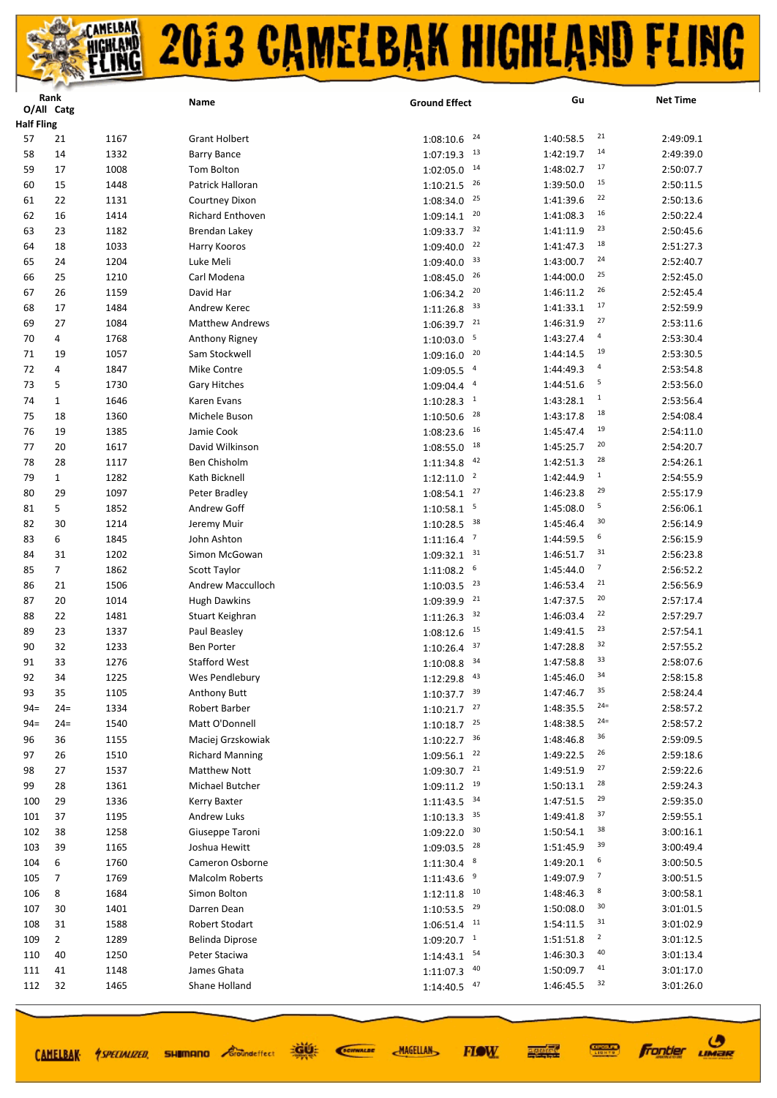|                   | Rank           |      | Name                   | <b>Ground Effect</b>        | Gu                           | <b>Net Time</b> |
|-------------------|----------------|------|------------------------|-----------------------------|------------------------------|-----------------|
| <b>Half Fling</b> | O/All Catg     |      |                        |                             |                              |                 |
| 57                | 21             | 1167 | <b>Grant Holbert</b>   | 24<br>1:08:10.6             | 21<br>1:40:58.5              | 2:49:09.1       |
| 58                | 14             | 1332 | <b>Barry Bance</b>     | 13<br>1:07:19.3             | 14<br>1:42:19.7              | 2:49:39.0       |
| 59                | 17             | 1008 | Tom Bolton             | 14<br>1:02:05.0             | 17<br>1:48:02.7              | 2:50:07.7       |
| 60                | 15             | 1448 | Patrick Halloran       | 26                          | 15<br>1:39:50.0              | 2:50:11.5       |
| 61                | 22             | 1131 | Courtney Dixon         | 1:10:21.5<br>25             | 22<br>1:41:39.6              | 2:50:13.6       |
| 62                |                |      |                        | 1:08:34.0<br>20             | 16                           | 2:50:22.4       |
|                   | 16             | 1414 | Richard Enthoven       | 1:09:14.1<br>32             | 1:41:08.3<br>23<br>1:41:11.9 | 2:50:45.6       |
| 63                | 23             | 1182 | <b>Brendan Lakey</b>   | 1:09:33.7<br>22             | 18                           |                 |
| 64                | 18             | 1033 | Harry Kooros           | 1:09:40.0<br>33             | 1:41:47.3<br>24              | 2:51:27.3       |
| 65                | 24             | 1204 | Luke Meli              | 1:09:40.0<br>26             | 1:43:00.7<br>25              | 2:52:40.7       |
| 66                | 25             | 1210 | Carl Modena            | 1:08:45.0                   | 1:44:00.0<br>26              | 2:52:45.0       |
| 67                | 26             | 1159 | David Har              | 20<br>1:06:34.2             | 1:46:11.2<br>17              | 2:52:45.4       |
| 68                | 17             | 1484 | Andrew Kerec           | 33<br>1:11:26.8             | 1:41:33.1<br>27              | 2:52:59.9       |
| 69                | 27             | 1084 | <b>Matthew Andrews</b> | 21<br>1:06:39.7             | 1:46:31.9                    | 2:53:11.6       |
| 70                | 4              | 1768 | Anthony Rigney         | 5<br>1:10:03.0              | 4<br>1:43:27.4<br>19         | 2:53:30.4       |
| 71                | 19             | 1057 | Sam Stockwell          | 20<br>1:09:16.0             | 1:44:14.5                    | 2:53:30.5       |
| 72                | 4              | 1847 | Mike Contre            | $\overline{a}$<br>1:09:05.5 | 4<br>1:44:49.3               | 2:53:54.8       |
| 73                | 5              | 1730 | <b>Gary Hitches</b>    | $\overline{a}$<br>1:09:04.4 | 5<br>1:44:51.6               | 2:53:56.0       |
| 74                | $\mathbf{1}$   | 1646 | Karen Evans            | $\mathbf{1}$<br>1:10:28.3   | $\mathbf{1}$<br>1:43:28.1    | 2:53:56.4       |
| 75                | 18             | 1360 | Michele Buson          | 28<br>1:10:50.6             | 18<br>1:43:17.8              | 2:54:08.4       |
| 76                | 19             | 1385 | Jamie Cook             | 1:08:23.6<br>16             | 19<br>1:45:47.4              | 2:54:11.0       |
| 77                | 20             | 1617 | David Wilkinson        | 18<br>1:08:55.0             | 20<br>1:45:25.7              | 2:54:20.7       |
| 78                | 28             | 1117 | Ben Chisholm           | 42<br>1:11:34.8             | 28<br>1:42:51.3              | 2:54:26.1       |
| 79                | $\mathbf{1}$   | 1282 | Kath Bicknell          | $\overline{2}$<br>1:12:11.0 | $\mathbf{1}$<br>1:42:44.9    | 2:54:55.9       |
| 80                | 29             | 1097 | Peter Bradley          | 27<br>1:08:54.1             | 29<br>1:46:23.8              | 2:55:17.9       |
| 81                | 5              | 1852 | Andrew Goff            | 5<br>1:10:58.1              | 5<br>1:45:08.0               | 2:56:06.1       |
| 82                | 30             | 1214 | Jeremy Muir            | 38<br>1:10:28.5             | 30<br>1:45:46.4              | 2:56:14.9       |
| 83                | 6              | 1845 | John Ashton            | $\overline{7}$<br>1:11:16.4 | 6<br>1:44:59.5               | 2:56:15.9       |
| 84                | 31             | 1202 | Simon McGowan          | 31<br>1:09:32.1             | 31<br>1:46:51.7              | 2:56:23.8       |
| 85                | $\overline{7}$ | 1862 | Scott Taylor           | 6<br>1:11:08.2              | 7<br>1:45:44.0               | 2:56:52.2       |
| 86                | 21             | 1506 | Andrew Macculloch      | 23<br>1:10:03.5             | 21<br>1:46:53.4              | 2:56:56.9       |
| 87                | 20             | 1014 | <b>Hugh Dawkins</b>    | 21<br>1:09:39.9             | 20<br>1:47:37.5              | 2:57:17.4       |
| 88                | 22             | 1481 | Stuart Keighran        | 32<br>1:11:26.3             | 22<br>1:46:03.4              | 2:57:29.7       |
| 89                | 23             | 1337 | Paul Beasley           | 15<br>1:08:12.6             | 23<br>1:49:41.5              | 2:57:54.1       |
| 90                | 32             | 1233 | <b>Ben Porter</b>      | 37<br>1:10:26.4             | 32<br>1:47:28.8              | 2:57:55.2       |
| 91                | 33             | 1276 | <b>Stafford West</b>   | 1:10:08.8<br>34             | 33<br>1:47:58.8              | 2:58:07.6       |
| 92                | 34             | 1225 | Wes Pendlebury         | 43<br>1:12:29.8             | 34<br>1:45:46.0              | 2:58:15.8       |
| 93                | 35             | 1105 | <b>Anthony Butt</b>    | $1:10:37.7$ <sup>39</sup>   | 35<br>1:47:46.7              | 2:58:24.4       |
| $94 =$            | $24=$          | 1334 | Robert Barber          | 27<br>1:10:21.7             | $24=$<br>1:48:35.5           | 2:58:57.2       |
| $94 =$            | $24=$          | 1540 | Matt O'Donnell         | 25<br>1:10:18.7             | $24=$<br>1:48:38.5           | 2:58:57.2       |
| 96                | 36             | 1155 | Maciej Grzskowiak      | 36<br>1:10:22.7             | 36<br>1:48:46.8              | 2:59:09.5       |
| 97                | 26             | 1510 | <b>Richard Manning</b> | 22<br>1:09:56.1             | 26<br>1:49:22.5              | 2:59:18.6       |
| 98                | 27             | 1537 | <b>Matthew Nott</b>    | 21<br>1:09:30.7             | 27<br>1:49:51.9              | 2:59:22.6       |
| 99                | 28             | 1361 | Michael Butcher        | 19<br>1:09:11.2             | 28<br>1:50:13.1              | 2:59:24.3       |
| 100               | 29             | 1336 | Kerry Baxter           | 34<br>1:11:43.5             | 29<br>1:47:51.5              | 2:59:35.0       |
| 101               | 37             | 1195 | <b>Andrew Luks</b>     | 1:10:13.3<br>35             | 37<br>1:49:41.8              | 2:59:55.1       |
| 102               | 38             | 1258 | Giuseppe Taroni        | 30<br>1:09:22.0             | 38<br>1:50:54.1              | 3:00:16.1       |
| 103               | 39             | 1165 | Joshua Hewitt          | 1:09:03.5<br>28             | 39<br>1:51:45.9              | 3:00:49.4       |
| 104               | 6              | 1760 | Cameron Osborne        | 8<br>1:11:30.4              | 6<br>1:49:20.1               | 3:00:50.5       |
| 105               | $\overline{7}$ | 1769 | <b>Malcolm Roberts</b> | 9<br>1:11:43.6              | $\overline{7}$<br>1:49:07.9  | 3:00:51.5       |
| 106               | 8              | 1684 | Simon Bolton           | 10<br>1:12:11.8             | 8<br>1:48:46.3               | 3:00:58.1       |
| 107               | 30             | 1401 | Darren Dean            | 29<br>1:10:53.5             | 30<br>1:50:08.0              | 3:01:01.5       |
| 108               | 31             | 1588 | Robert Stodart         | 1:06:51.4<br>11             | 31<br>1:54:11.5              | 3:01:02.9       |
| 109               | $\overline{2}$ | 1289 | Belinda Diprose        | $\mathbf{1}$<br>1:09:20.7   | $\overline{2}$<br>1:51:51.8  | 3:01:12.5       |
| 110               | 40             | 1250 | Peter Staciwa          | 54<br>1:14:43.1             | 40<br>1:46:30.3              | 3:01:13.4       |
| 111               | 41             | 1148 | James Ghata            | 40<br>1:11:07.3             | 41<br>1:50:09.7              | 3:01:17.0       |
| 112               | 32             | 1465 | Shane Holland          | 47<br>1:14:40.5             | 32<br>1:46:45.5              | 3:01:26.0       |
|                   |                |      |                        |                             |                              |                 |

道好

**SHIMANO** *Groundeffect* 

SCIENALDE

**MAGELLAN** 

 $\boldsymbol{\vartheta}$ 

**Frontier LIMBR** 

**CONNECT** 

医硬体质

**FIOW** 

CAMELBAK *ASPECIALIZED*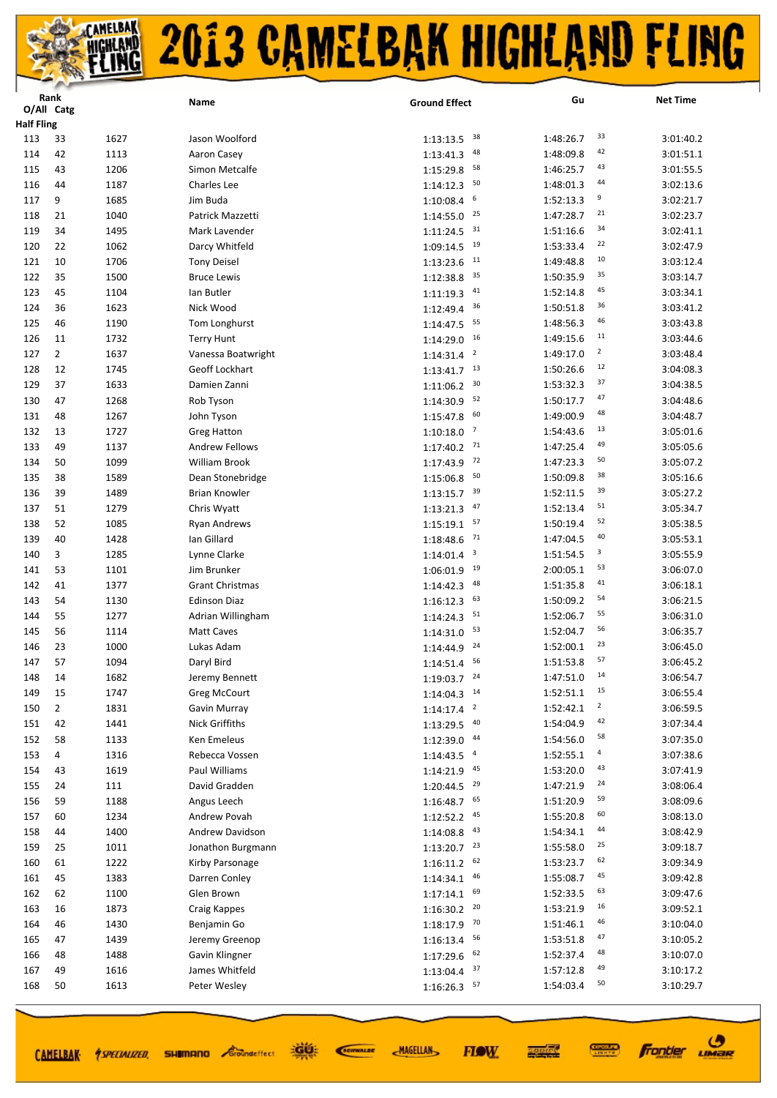|                          | Rank           |              | Name                          | <b>Ground Effect</b>                 | Gu                                   | <b>Net Time</b>        |
|--------------------------|----------------|--------------|-------------------------------|--------------------------------------|--------------------------------------|------------------------|
|                          | O/All Catg     |              |                               |                                      |                                      |                        |
| <b>Half Fling</b><br>113 | 33             | 1627         | Jason Woolford                | 38                                   | 33<br>1:48:26.7                      | 3:01:40.2              |
|                          |                |              |                               | 1:13:13.5<br>48                      | 42                                   |                        |
| 114<br>115               | 42             | 1113<br>1206 | Aaron Casey<br>Simon Metcalfe | 1:13:41.3<br>58                      | 1:48:09.8<br>43<br>1:46:25.7         | 3:01:51.1<br>3:01:55.5 |
|                          | 43             |              |                               | 1:15:29.8<br>50                      | 44                                   |                        |
| 116                      | 44             | 1187         | Charles Lee                   | 1:14:12.3<br>6                       | 1:48:01.3<br>9                       | 3:02:13.6              |
| 117                      | 9              | 1685         | Jim Buda                      | 1:10:08.4                            | 1:52:13.3<br>21                      | 3:02:21.7              |
| 118                      | 21             | 1040         | Patrick Mazzetti              | 25<br>1:14:55.0                      | 1:47:28.7<br>34                      | 3:02:23.7              |
| 119                      | 34             | 1495         | Mark Lavender                 | 31<br>1:11:24.5                      | 1:51:16.6<br>22                      | 3:02:41.1              |
| 120                      | 22             | 1062         | Darcy Whitfeld                | 19<br>1:09:14.5                      | 1:53:33.4<br>10                      | 3:02:47.9              |
| 121                      | 10             | 1706         | <b>Tony Deisel</b>            | 11<br>1:13:23.6                      | 1:49:48.8                            | 3:03:12.4              |
| 122                      | 35             | 1500         | <b>Bruce Lewis</b>            | 35<br>1:12:38.8                      | 35<br>1:50:35.9                      | 3:03:14.7              |
| 123                      | 45             | 1104         | lan Butler                    | 41<br>1:11:19.3                      | 45<br>1:52:14.8                      | 3:03:34.1              |
| 124                      | 36             | 1623         | Nick Wood                     | 36<br>1:12:49.4                      | 36<br>1:50:51.8                      | 3:03:41.2              |
| 125                      | 46             | 1190         | Tom Longhurst                 | 55<br>1:14:47.5                      | 46<br>1:48:56.3                      | 3:03:43.8              |
| 126                      | 11             | 1732         | <b>Terry Hunt</b>             | 16<br>1:14:29.0                      | 11<br>1:49:15.6                      | 3:03:44.6              |
| 127                      | $\overline{2}$ | 1637         | Vanessa Boatwright            | $\overline{\mathbf{c}}$<br>1:14:31.4 | $\overline{\mathbf{c}}$<br>1:49:17.0 | 3:03:48.4              |
| 128                      | 12             | 1745         | Geoff Lockhart                | 13<br>1:13:41.7                      | 12<br>1:50:26.6                      | 3:04:08.3              |
| 129                      | 37             | 1633         | Damien Zanni                  | 30<br>1:11:06.2                      | 37<br>1:53:32.3                      | 3:04:38.5              |
| 130                      | 47             | 1268         | Rob Tyson                     | 52<br>1:14:30.9                      | 47<br>1:50:17.7                      | 3:04:48.6              |
| 131                      | 48             | 1267         | John Tyson                    | 60<br>1:15:47.8                      | 48<br>1:49:00.9                      | 3:04:48.7              |
| 132                      | 13             | 1727         | <b>Greg Hatton</b>            | $\overline{7}$<br>1:10:18.0          | 13<br>1:54:43.6                      | 3:05:01.6              |
| 133                      | 49             | 1137         | <b>Andrew Fellows</b>         | 71<br>1:17:40.2                      | 49<br>1:47:25.4                      | 3:05:05.6              |
| 134                      | 50             | 1099         | William Brook                 | 72<br>1:17:43.9                      | 50<br>1:47:23.3                      | 3:05:07.2              |
| 135                      | 38             | 1589         | Dean Stonebridge              | 50<br>1:15:06.8                      | 38<br>1:50:09.8                      | 3:05:16.6              |
| 136                      | 39             | 1489         | <b>Brian Knowler</b>          | 39<br>1:13:15.7                      | 39<br>1:52:11.5                      | 3:05:27.2              |
| 137                      | 51             | 1279         | Chris Wyatt                   | 47<br>1:13:21.3                      | 51<br>1:52:13.4                      | 3:05:34.7              |
| 138                      | 52             | 1085         | <b>Ryan Andrews</b>           | 57<br>1:15:19.1                      | 52<br>1:50:19.4                      | 3:05:38.5              |
| 139                      | 40             | 1428         | Ian Gillard                   | 71<br>1:18:48.6                      | 40<br>1:47:04.5                      | 3:05:53.1              |
| 140                      | 3              | 1285         | Lynne Clarke                  | $\overline{\mathbf{3}}$<br>1:14:01.4 | 3<br>1:51:54.5                       | 3:05:55.9              |
| 141                      | 53             | 1101         | Jim Brunker                   | 19<br>1:06:01.9                      | 53<br>2:00:05.1                      | 3:06:07.0              |
| 142                      | 41             | 1377         | <b>Grant Christmas</b>        | 48<br>1:14:42.3                      | 41<br>1:51:35.8                      | 3:06:18.1              |
| 143                      | 54             | 1130         | <b>Edinson Diaz</b>           | 63<br>1:16:12.3                      | 54<br>1:50:09.2                      | 3:06:21.5              |
| 144                      | 55             | 1277         | Adrian Willingham             | 51<br>1:14:24.3                      | 55<br>1:52:06.7                      | 3:06:31.0              |
| 145                      | 56             | 1114         | Matt Caves                    | 53<br>1:14:31.0                      | 56<br>1:52:04.7                      | 3:06:35.7              |
| 146                      | 23             | 1000         | Lukas Adam                    | 24<br>1:14:44.9                      | 23<br>1:52:00.1                      | 3:06:45.0              |
| 147                      | 57             | 1094         | Daryl Bird                    | 56<br>1:14:51.4                      | 57<br>1:51:53.8                      | 3:06:45.2              |
| 148                      | 14             | 1682         | Jeremy Bennett                | $1:19:03.7$ <sup>24</sup>            | 14<br>1:47:51.0                      | 3:06:54.7              |
| 149                      | 15             | 1747         | Greg McCourt                  | $1:14:04.3$ <sup>14</sup>            | 15<br>1:52:51.1                      | 3:06:55.4              |
| 150                      | 2              | 1831         | Gavin Murray                  | $\overline{\mathbf{c}}$<br>1:14:17.4 | $\overline{2}$<br>1:52:42.1          | 3:06:59.5              |
| 151                      | 42             | 1441         | Nick Griffiths                | 40<br>1:13:29.5                      | 42<br>1:54:04.9                      | 3:07:34.4              |
| 152                      | 58             | 1133         | Ken Emeleus                   | 44<br>1:12:39.0                      | 58<br>1:54:56.0                      | 3:07:35.0              |
| 153                      | 4              | 1316         | Rebecca Vossen                | $\overline{a}$<br>1:14:43.5          | $\overline{a}$<br>1:52:55.1          | 3:07:38.6              |
| 154                      | 43             | 1619         | Paul Williams                 | 45<br>1:14:21.9                      | 43<br>1:53:20.0                      | 3:07:41.9              |
| 155                      | 24             | 111          | David Gradden                 | 1:20:44.5<br>29                      | 24<br>1:47:21.9                      | 3:08:06.4              |
| 156                      | 59             | 1188         | Angus Leech                   | 65<br>1:16:48.7                      | 59<br>1:51:20.9                      | 3:08:09.6              |
| 157                      | 60             | 1234         | Andrew Povah                  | 1:12:52.2<br>45                      | 60<br>1:55:20.8                      | 3:08:13.0              |
| 158                      | 44             | 1400         | Andrew Davidson               | 43<br>1:14:08.8                      | 44<br>1:54:34.1                      | 3:08:42.9              |
| 159                      | 25             | 1011         | Jonathon Burgmann             | 1:13:20.7<br>23                      | 25<br>1:55:58.0                      | 3:09:18.7              |
| 160                      | 61             | 1222         | Kirby Parsonage               | 62<br>1:16:11.2                      | 62<br>1:53:23.7                      | 3:09:34.9              |
| 161                      | 45             | 1383         | Darren Conley                 | 46<br>1:14:34.1                      | 45<br>1:55:08.7                      | 3:09:42.8              |
| 162                      | 62             | 1100         | Glen Brown                    | 69<br>1:17:14.1                      | 63<br>1:52:33.5                      | 3:09:47.6              |
| 163                      | 16             | 1873         | Craig Kappes                  | 20<br>1:16:30.2                      | 16<br>1:53:21.9                      | 3:09:52.1              |
| 164                      | 46             | 1430         | Benjamin Go                   | 70<br>1:18:17.9                      | 46<br>1:51:46.1                      | 3:10:04.0              |
| 165                      | 47             | 1439         |                               | 56                                   | 47<br>1:53:51.8                      | 3:10:05.2              |
| 166                      | 48             | 1488         | Jeremy Greenop                | 1:16:13.4<br>62                      | 48                                   | 3:10:07.0              |
|                          |                |              | Gavin Klingner                | 1:17:29.6<br>37                      | 1:52:37.4<br>49                      |                        |
| 167                      | 49             | 1616         | James Whitfeld                | 1:13:04.4<br>57                      | 1:57:12.8<br>50                      | 3:10:17.2              |
| 168                      | 50             | 1613         | Peter Wesley                  | 1:16:26.3                            | 1:54:03.4                            | 3:10:29.7              |

SCIENALDE

**MAGELLAN** 



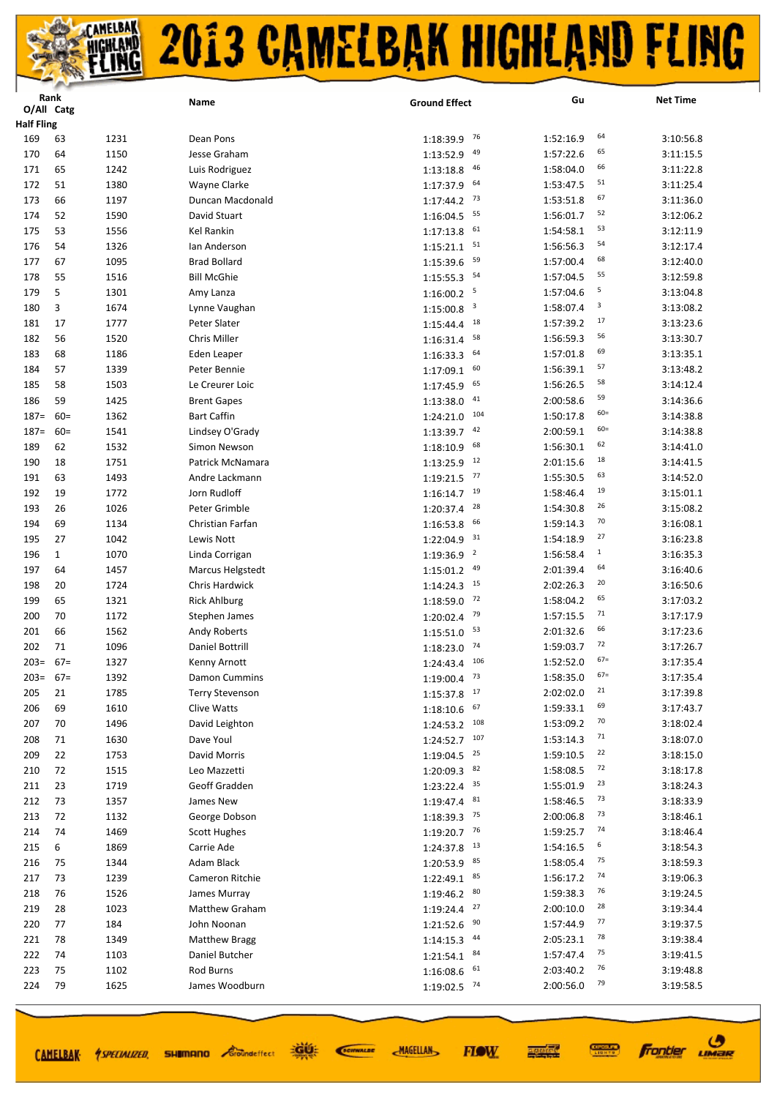|                   | Rank         |              | Name                        | <b>Ground Effect</b>        | Gu                     | <b>Net Time</b>              |
|-------------------|--------------|--------------|-----------------------------|-----------------------------|------------------------|------------------------------|
| O/All Catg        |              |              |                             |                             |                        |                              |
| <b>Half Fling</b> |              |              |                             |                             |                        | 64                           |
| 169               | 63           | 1231         | Dean Pons                   | 76<br>1:18:39.9             | 1:52:16.9              | 3:10:56.8                    |
| 170               | 64           | 1150         | Jesse Graham                | 49<br>1:13:52.9             | 1:57:22.6              | 65<br>3:11:15.5              |
| 171               | 65           | 1242         | Luis Rodriguez              | 46<br>1:13:18.8             | 1:58:04.0              | 66<br>3:11:22.8              |
| 172               | 51           | 1380         | Wayne Clarke                | 64<br>1:17:37.9             | 1:53:47.5              | 51<br>3:11:25.4              |
| 173               | 66           | 1197         | Duncan Macdonald            | 73<br>1:17:44.2             | 1:53:51.8              | 67<br>3:11:36.0              |
| 174               | 52           | 1590         | David Stuart                | 55<br>1:16:04.5             | 1:56:01.7              | 52<br>3:12:06.2              |
| 175               | 53           | 1556         | Kel Rankin                  | 61<br>1:17:13.8             | 1:54:58.1              | 53<br>3:12:11.9              |
| 176               | 54           | 1326         | lan Anderson                | 51<br>1:15:21.1             | 1:56:56.3              | 54<br>3:12:17.4              |
| 177               | 67           | 1095         | <b>Brad Bollard</b>         | 59<br>1:15:39.6             | 1:57:00.4              | 68<br>3:12:40.0              |
| 178               | 55           | 1516         | <b>Bill McGhie</b>          | 54<br>1:15:55.3             | 1:57:04.5              | 55<br>3:12:59.8              |
| 179               | 5            | 1301         | Amy Lanza                   | 5<br>1:16:00.2              | 1:57:04.6              | 5<br>3:13:04.8               |
| 180               | 3            | 1674         | Lynne Vaughan               | 3<br>1:15:00.8              | 1:58:07.4              | 3<br>3:13:08.2               |
| 181               | 17           | 1777         | Peter Slater                | 18<br>1:15:44.4             | 1:57:39.2              | 17<br>3:13:23.6              |
| 182               | 56           | 1520         | Chris Miller                | 58<br>1:16:31.4             | 1:56:59.3              | 56<br>3:13:30.7              |
| 183               | 68           | 1186         | Eden Leaper                 | 64<br>1:16:33.3             | 1:57:01.8              | 69<br>3:13:35.1              |
| 184               | 57           | 1339         | Peter Bennie                | 60<br>1:17:09.1             | 1:56:39.1              | 57<br>3:13:48.2              |
| 185               | 58           | 1503         | Le Creurer Loic             | 65<br>1:17:45.9             | 1:56:26.5              | 58<br>3:14:12.4              |
| 186               | 59           | 1425         | <b>Brent Gapes</b>          | 41<br>1:13:38.0             | 2:00:58.6              | 59<br>3:14:36.6              |
| $187 =$           | $60=$        | 1362         | <b>Bart Caffin</b>          | 104<br>1:24:21.0            | 1:50:17.8              | $60=$<br>3:14:38.8           |
| $187 =$           | $60 =$       | 1541         | Lindsey O'Grady             | 42<br>1:13:39.7             | 2:00:59.1              | $60=$<br>3:14:38.8           |
| 189               | 62           | 1532         | Simon Newson                | 68<br>1:18:10.9             | 1:56:30.1              | 62<br>3:14:41.0              |
| 190               | 18           | 1751         | Patrick McNamara            | 12<br>1:13:25.9             | 2:01:15.6              | 18<br>3:14:41.5              |
| 191               | 63           | 1493         | Andre Lackmann              | 77<br>1:19:21.5             | 1:55:30.5              | 63<br>3:14:52.0              |
| 192               | 19           | 1772         | Jorn Rudloff                | 19<br>1:16:14.7             | 1:58:46.4              | 19<br>3:15:01.1              |
| 193               | 26           | 1026         | Peter Grimble               | 28<br>1:20:37.4             | 1:54:30.8              | 26<br>3:15:08.2              |
| 194               | 69           | 1134         | Christian Farfan            | 66<br>1:16:53.8             | 1:59:14.3              | 70<br>3:16:08.1              |
| 195               | 27           | 1042         | Lewis Nott                  | 31<br>1:22:04.9             | 1:54:18.9              | 27<br>3:16:23.8              |
| 196               | $\mathbf{1}$ | 1070         | Linda Corrigan              | $\overline{2}$<br>1:19:36.9 | 1:56:58.4              | $\mathbf{1}$<br>3:16:35.3    |
| 197               | 64           | 1457         | Marcus Helgstedt            | 49<br>1:15:01.2             | 2:01:39.4              | 64<br>3:16:40.6              |
| 198               | 20           | 1724         | Chris Hardwick              | 15<br>1:14:24.3             | 2:02:26.3              | 20<br>3:16:50.6<br>65        |
| 199               | 65           | 1321         | <b>Rick Ahlburg</b>         | 72<br>1:18:59.0             | 1:58:04.2              | 3:17:03.2<br>71              |
| 200               | 70           | 1172         | Stephen James               | 79<br>1:20:02.4             | 1:57:15.5              | 3:17:17.9<br>66              |
| 201               | 66           | 1562         | <b>Andy Roberts</b>         | 53<br>1:15:51.0             | 2:01:32.6              | 3:17:23.6<br>72              |
| 202               | 71           | 1096         | Daniel Bottrill             | 74<br>1:18:23.0             | 1:59:03.7              | 3:17:26.7<br>$67=$           |
| $203=$            | $67=$        | 1327         | Kenny Arnott                | 106<br>1:24:43.4            | 1:52:52.0              | 3:17:35.4<br>$67=$           |
| $203 = 67 =$      |              | 1392         | Damon Cummins               | $1:19:00.4$ <sup>73</sup>   | 1:58:35.0              | 3:17:35.4                    |
| 205               | 21           | 1785         | <b>Terry Stevenson</b>      | $1:15:37.8$ $17$            | 2:02:02.0              | 21<br>3:17:39.8<br>69        |
| 206               | 69           | 1610         | Clive Watts                 | 67<br>1:18:10.6             | 1:59:33.1              | 3:17:43.7<br>70              |
| 207               | 70           | 1496         | David Leighton              | $1:24:53.2$ 108             | 1:53:09.2              | 3:18:02.4<br>71              |
| 208               | 71           | 1630         | Dave Youl                   | 107<br>1:24:52.7            | 1:53:14.3              | 3:18:07.0<br>22              |
| 209               | 22           | 1753         | David Morris                | 25<br>1:19:04.5<br>82       | 1:59:10.5              | 3:18:15.0<br>72              |
| 210               | 72           | 1515         | Leo Mazzetti                | 1:20:09.3                   | 1:58:08.5              | 3:18:17.8<br>23              |
| 211               | 23           | 1719         | Geoff Gradden               | 35<br>1:23:22.4<br>81       | 1:55:01.9              | 3:18:24.3<br>73              |
| 212               | 73           | 1357         | James New                   | 1:19:47.4<br>75             | 1:58:46.5              | 3:18:33.9<br>73              |
| 213               | 72           | 1132         | George Dobson               | 1:18:39.3<br>76             | 2:00:06.8              | 3:18:46.1<br>74              |
| 214               | 74           | 1469         | <b>Scott Hughes</b>         | 1:19:20.7<br>- 13           | 1:59:25.7              | 3:18:46.4<br>6               |
| 215               | 6            | 1869         | Carrie Ade                  | 1:24:37.8<br>85             | 1:54:16.5              | 3:18:54.3<br>75              |
| 216               | 75           | 1344         | Adam Black                  | 1:20:53.9<br>85             | 1:58:05.4              | 3:18:59.3<br>74              |
| 217               | 73           | 1239         | Cameron Ritchie             | 1:22:49.1<br>80             | 1:56:17.2              | 3:19:06.3<br>76              |
| 218               | 76           | 1526         | James Murray                | 1:19:46.2<br>27             | 1:59:38.3              | 3:19:24.5<br>28              |
| 219               | 28           | 1023         | Matthew Graham              | 1:19:24.4<br>90             | 2:00:10.0              | 3:19:34.4<br>77              |
| 220               | 77           | 184          | John Noonan                 | 1:21:52.6<br>44             | 1:57:44.9              | 3:19:37.5<br>78              |
| 221               | 78           | 1349         | <b>Matthew Bragg</b>        | 1:14:15.3<br>84             | 2:05:23.1              | 3:19:38.4<br>75              |
| 222               | 74           | 1103         | Daniel Butcher              | 1:21:54.1                   | 1:57:47.4              | 3:19:41.5<br>76              |
| 223<br>224        | 75<br>79     | 1102<br>1625 | Rod Burns<br>James Woodburn | 1:16:08.6<br>61             | 2:03:40.2<br>2:00:56.0 | 3:19:48.8<br>79<br>3:19:58.5 |
|                   |              |              |                             | 1:19:02.5 74                |                        |                              |

CAMELBAK *ASPECIALIZED* 

道理 **SHIMANO** *Groundeffect* 

**MAGELLAN** SCIENALDE

**FIOW** 



**CONNECT**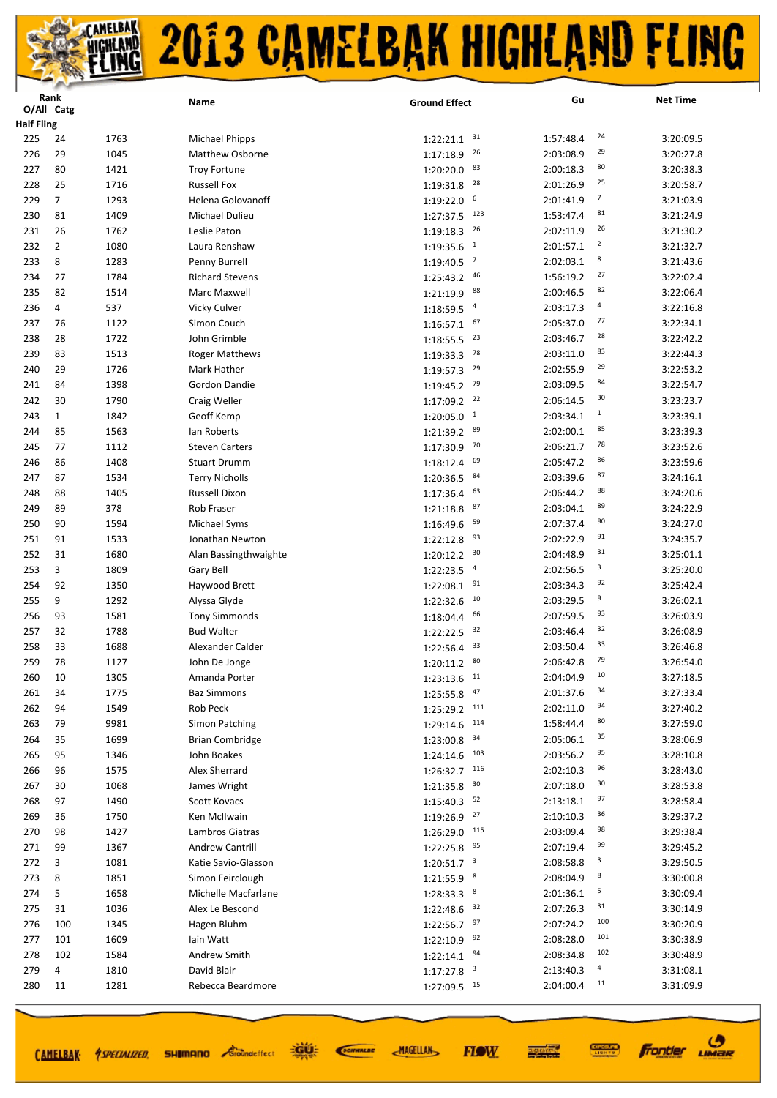|                   | Rank           |      | Name                   | <b>Ground Effect</b>                 | Gu                          | <b>Net Time</b> |
|-------------------|----------------|------|------------------------|--------------------------------------|-----------------------------|-----------------|
|                   | O/All Catg     |      |                        |                                      |                             |                 |
| <b>Half Fling</b> |                |      |                        |                                      |                             |                 |
| 225               | 24             | 1763 | <b>Michael Phipps</b>  | 31<br>1:22:21.1                      | 24<br>1:57:48.4             | 3:20:09.5       |
| 226               | 29             | 1045 | Matthew Osborne        | 26<br>1:17:18.9                      | 29<br>2:03:08.9             | 3:20:27.8       |
| 227               | 80             | 1421 | <b>Troy Fortune</b>    | 83<br>1:20:20.0                      | 80<br>2:00:18.3             | 3:20:38.3       |
| 228               | 25             | 1716 | <b>Russell Fox</b>     | 28<br>1:19:31.8                      | 25<br>2:01:26.9             | 3:20:58.7       |
| 229               | $\overline{7}$ | 1293 | Helena Golovanoff      | 6<br>1:19:22.0                       | 7<br>2:01:41.9              | 3:21:03.9       |
| 230               | 81             | 1409 | Michael Dulieu         | 123<br>1:27:37.5                     | 81<br>1:53:47.4             | 3:21:24.9       |
| 231               | 26             | 1762 | Leslie Paton           | 26<br>1:19:18.3                      | 26<br>2:02:11.9             | 3:21:30.2       |
| 232               | 2              | 1080 | Laura Renshaw          | $\mathbf{1}$<br>1:19:35.6            | $\overline{2}$<br>2:01:57.1 | 3:21:32.7       |
| 233               | 8              | 1283 | Penny Burrell          | $\overline{7}$<br>1:19:40.5          | 8<br>2:02:03.1              | 3:21:43.6       |
| 234               | 27             | 1784 | <b>Richard Stevens</b> | 46<br>1:25:43.2                      | 27<br>1:56:19.2             | 3:22:02.4       |
| 235               | 82             | 1514 | Marc Maxwell           | 88<br>1:21:19.9                      | 82<br>2:00:46.5             | 3:22:06.4       |
| 236               | 4              | 537  | Vicky Culver           | $\overline{4}$<br>1:18:59.5          | 4<br>2:03:17.3              | 3:22:16.8       |
| 237               | 76             | 1122 | Simon Couch            | 67<br>1:16:57.1                      | 77<br>2:05:37.0             | 3:22:34.1       |
| 238               | 28             | 1722 | John Grimble           | 23<br>1:18:55.5                      | 28<br>2:03:46.7             | 3:22:42.2       |
| 239               | 83             | 1513 | <b>Roger Matthews</b>  | 78<br>1:19:33.3                      | 83<br>2:03:11.0             | 3:22:44.3       |
| 240               | 29             | 1726 | Mark Hather            | 29<br>1:19:57.3                      | 29<br>2:02:55.9             | 3:22:53.2       |
| 241               | 84             | 1398 | Gordon Dandie          | 79<br>1:19:45.2                      | 84<br>2:03:09.5             | 3:22:54.7       |
| 242               | 30             | 1790 | Craig Weller           | 1:17:09.2<br>22                      | 30<br>2:06:14.5             | 3:23:23.7       |
| 243               | $\mathbf{1}$   | 1842 | Geoff Kemp             | $\mathbf{1}$<br>1:20:05.0            | $\mathbf{1}$<br>2:03:34.1   | 3:23:39.1       |
| 244               | 85             | 1563 | lan Roberts            | 89<br>1:21:39.2                      | 85<br>2:02:00.1             | 3:23:39.3       |
| 245               | 77             | 1112 | <b>Steven Carters</b>  | 70<br>1:17:30.9                      | 78<br>2:06:21.7             | 3:23:52.6       |
| 246               | 86             | 1408 | <b>Stuart Drumm</b>    | 69<br>1:18:12.4                      | 86<br>2:05:47.2             | 3:23:59.6       |
| 247               | 87             | 1534 | <b>Terry Nicholls</b>  | 84<br>1:20:36.5                      | 87<br>2:03:39.6             | 3:24:16.1       |
| 248               | 88             | 1405 | Russell Dixon          | 63<br>1:17:36.4                      | 88<br>2:06:44.2             | 3:24:20.6       |
| 249               | 89             | 378  | Rob Fraser             | 87<br>1:21:18.8                      | 89<br>2:03:04.1             | 3:24:22.9       |
| 250               | 90             | 1594 | Michael Syms           | 59<br>1:16:49.6                      | 90<br>2:07:37.4             | 3:24:27.0       |
| 251               | 91             | 1533 | Jonathan Newton        | 93<br>1:22:12.8                      | 91<br>2:02:22.9             | 3:24:35.7       |
| 252               | 31             | 1680 | Alan Bassingthwaighte  | 30<br>1:20:12.2                      | 31<br>2:04:48.9             | 3:25:01.1       |
| 253               | 3              | 1809 | Gary Bell              | $\overline{a}$<br>1:22:23.5          | 3<br>2:02:56.5              | 3:25:20.0       |
| 254               | 92             | 1350 | Haywood Brett          | 91<br>1:22:08.1                      | 92<br>2:03:34.3             | 3:25:42.4       |
| 255               | 9              | 1292 | Alyssa Glyde           | 10<br>1:22:32.6                      | 9<br>2:03:29.5              | 3:26:02.1       |
| 256               | 93             | 1581 | <b>Tony Simmonds</b>   | 66<br>1:18:04.4                      | 93<br>2:07:59.5             | 3:26:03.9       |
| 257               | 32             | 1788 | <b>Bud Walter</b>      | 32<br>1:22:22.5                      | 32<br>2:03:46.4             | 3:26:08.9       |
| 258               | 33             | 1688 | Alexander Calder       | 33<br>1:22:56.4                      | 33<br>2:03:50.4             | 3:26:46.8       |
| 259               | 78             | 1127 | John De Jonge          | 1:20:11.2<br>80                      | 79<br>2:06:42.8             | 3:26:54.0       |
| 260               | 10             | 1305 | Amanda Porter          | $1:23:13.6$ <sup>11</sup>            | 10<br>2:04:04.9             | 3:27:18.5       |
| 261               | 34             | 1775 | <b>Baz Simmons</b>     | 47<br>1:25:55.8                      | 34<br>2:01:37.6             | 3:27:33.4       |
| 262               | 94             | 1549 | Rob Peck               | 111<br>1:25:29.2                     | 94<br>2:02:11.0             | 3:27:40.2       |
| 263               | 79             | 9981 | Simon Patching         | 114<br>1:29:14.6                     | 80<br>1:58:44.4             | 3:27:59.0       |
| 264               | 35             | 1699 | <b>Brian Combridge</b> | 34<br>1:23:00.8                      | 35<br>2:05:06.1             | 3:28:06.9       |
| 265               | 95             | 1346 | John Boakes            | 103<br>1:24:14.6                     | 95<br>2:03:56.2             | 3:28:10.8       |
| 266               | 96             | 1575 | Alex Sherrard          | 116<br>1:26:32.7                     | 96<br>2:02:10.3             | 3:28:43.0       |
| 267               | 30             | 1068 | James Wright           | 30<br>1:21:35.8                      | 30<br>2:07:18.0             | 3:28:53.8       |
| 268               | 97             | 1490 | <b>Scott Kovacs</b>    | 52<br>1:15:40.3                      | 97<br>2:13:18.1             | 3:28:58.4       |
| 269               | 36             | 1750 | Ken McIlwain           | 27<br>1:19:26.9                      | 36<br>2:10:10.3             | 3:29:37.2       |
| 270               | 98             | 1427 | Lambros Giatras        | 115<br>1:26:29.0                     | 98<br>2:03:09.4             | 3:29:38.4       |
| 271               | 99             | 1367 | <b>Andrew Cantrill</b> | 95<br>1:22:25.8                      | 99<br>2:07:19.4             | 3:29:45.2       |
| 272               | 3              | 1081 | Katie Savio-Glasson    | $\overline{\mathbf{3}}$<br>1:20:51.7 | 3<br>2:08:58.8              | 3:29:50.5       |
| 273               | 8              | 1851 | Simon Feirclough       | 8<br>1:21:55.9                       | 8<br>2:08:04.9              | 3:30:00.8       |
| 274               | 5              | 1658 | Michelle Macfarlane    | 8<br>1:28:33.3                       | 5<br>2:01:36.1              | 3:30:09.4       |
| 275               | 31             | 1036 | Alex Le Bescond        | 32<br>1:22:48.6                      | 31<br>2:07:26.3             | 3:30:14.9       |
| 276               | 100            | 1345 | Hagen Bluhm            | 97<br>1:22:56.7                      | 100<br>2:07:24.2            | 3:30:20.9       |
| 277               | 101            | 1609 | lain Watt              | 92<br>1:22:10.9                      | 101<br>2:08:28.0            | 3:30:38.9       |
| 278               | 102            | 1584 | Andrew Smith           | 94<br>1:22:14.1                      | 102<br>2:08:34.8            | 3:30:48.9       |
| 279               | 4              | 1810 | David Blair            | $\overline{\mathbf{3}}$<br>1:17:27.8 | 4<br>2:13:40.3              | 3:31:08.1       |
| 280               | 11             | 1281 | Rebecca Beardmore      | 1:27:09.5 15                         | 11<br>2:04:00.4             | 3:31:09.9       |
|                   |                |      |                        |                                      |                             |                 |

CAMELBAK *ASPECIALIZED* 

道好 **SHIMANO** *Groundeffect* 

SCIENALDE

**MAGELLAN** 



**Frontier UMBR**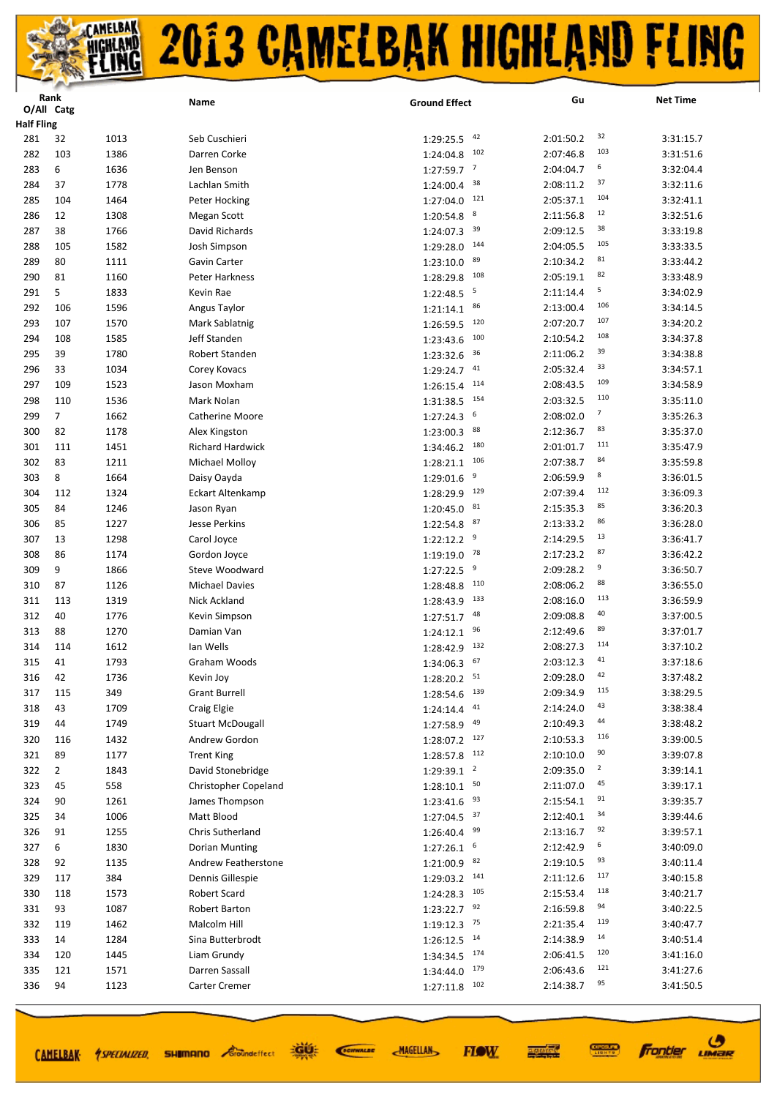|                   | Rank           |      | Name                    | <b>Ground Effect</b>        | Gu        |                | <b>Net Time</b> |
|-------------------|----------------|------|-------------------------|-----------------------------|-----------|----------------|-----------------|
|                   | O/All Catg     |      |                         |                             |           |                |                 |
| <b>Half Fling</b> |                |      |                         |                             |           |                |                 |
| 281               | 32             | 1013 | Seb Cuschieri           | 42<br>1:29:25.5             | 2:01:50.2 | 32             | 3:31:15.7       |
| 282               | 103            | 1386 | Darren Corke            | 102<br>1:24:04.8            | 2:07:46.8 | 103            | 3:31:51.6       |
| 283               | 6              | 1636 | Jen Benson              | $\overline{7}$<br>1:27:59.7 | 2:04:04.7 | 6              | 3:32:04.4       |
| 284               | 37             | 1778 | Lachlan Smith           | 38<br>1:24:00.4             | 2:08:11.2 | 37             | 3:32:11.6       |
| 285               | 104            | 1464 | Peter Hocking           | 121<br>1:27:04.0            | 2:05:37.1 | 104            | 3:32:41.1       |
| 286               | 12             | 1308 | Megan Scott             | 8<br>1:20:54.8              | 2:11:56.8 | 12             | 3:32:51.6       |
| 287               | 38             | 1766 | David Richards          | 39<br>1:24:07.3             | 2:09:12.5 | 38             | 3:33:19.8       |
| 288               | 105            | 1582 | Josh Simpson            | 144<br>1:29:28.0            | 2:04:05.5 | 105            | 3:33:33.5       |
| 289               | 80             | 1111 | Gavin Carter            | 89<br>1:23:10.0             | 2:10:34.2 | 81             | 3:33:44.2       |
| 290               | 81             | 1160 | <b>Peter Harkness</b>   | 108<br>1:28:29.8            | 2:05:19.1 | 82             | 3:33:48.9       |
| 291               | 5              | 1833 | Kevin Rae               | 5<br>1:22:48.5              | 2:11:14.4 | 5              | 3:34:02.9       |
| 292               | 106            | 1596 | Angus Taylor            | 86<br>1:21:14.1             | 2:13:00.4 | 106            | 3:34:14.5       |
| 293               | 107            | 1570 | Mark Sablatnig          | 120<br>1:26:59.5            | 2:07:20.7 | 107            | 3:34:20.2       |
| 294               | 108            | 1585 | Jeff Standen            | 100<br>1:23:43.6            | 2:10:54.2 | 108            | 3:34:37.8       |
| 295               | 39             | 1780 | Robert Standen          | 36<br>1:23:32.6             | 2:11:06.2 | 39             | 3:34:38.8       |
| 296               | 33             | 1034 | Corey Kovacs            | 41<br>1:29:24.7             | 2:05:32.4 | 33             | 3:34:57.1       |
| 297               | 109            | 1523 | Jason Moxham            | 114<br>1:26:15.4            | 2:08:43.5 | 109            | 3:34:58.9       |
| 298               | 110            | 1536 | Mark Nolan              | 154<br>1:31:38.5            | 2:03:32.5 | 110            | 3:35:11.0       |
| 299               | $\overline{7}$ | 1662 | <b>Catherine Moore</b>  | 6<br>1:27:24.3              | 2:08:02.0 | 7              | 3:35:26.3       |
| 300               | 82             | 1178 | Alex Kingston           | 88<br>1:23:00.3             | 2:12:36.7 | 83             | 3:35:37.0       |
| 301               | 111            | 1451 | <b>Richard Hardwick</b> | 180<br>1:34:46.2            | 2:01:01.7 | 111            | 3:35:47.9       |
| 302               | 83             | 1211 | <b>Michael Molloy</b>   | 106<br>1:28:21.1            | 2:07:38.7 | 84             | 3:35:59.8       |
| 303               | 8              | 1664 | Daisy Oayda             | 9<br>1:29:01.6              | 2:06:59.9 | 8              | 3:36:01.5       |
| 304               | 112            | 1324 | <b>Eckart Altenkamp</b> | 129<br>1:28:29.9            | 2:07:39.4 | 112            | 3:36:09.3       |
| 305               | 84             | 1246 | Jason Ryan              | 81<br>1:20:45.0             | 2:15:35.3 | 85             | 3:36:20.3       |
| 306               | 85             | 1227 | Jesse Perkins           | 87<br>1:22:54.8             | 2:13:33.2 | 86             | 3:36:28.0       |
| 307               | 13             | 1298 | Carol Joyce             | 9<br>1:22:12.2              | 2:14:29.5 | 13             | 3:36:41.7       |
| 308               | 86             | 1174 | Gordon Joyce            | 78<br>1:19:19.0             | 2:17:23.2 | 87             | 3:36:42.2       |
| 309               | 9              | 1866 | Steve Woodward          | 9<br>1:27:22.5              | 2:09:28.2 | 9              | 3:36:50.7       |
| 310               | 87             | 1126 | <b>Michael Davies</b>   | 110<br>1:28:48.8            | 2:08:06.2 | 88             | 3:36:55.0       |
| 311               | 113            | 1319 | Nick Ackland            | 133<br>1:28:43.9            | 2:08:16.0 | 113            | 3:36:59.9       |
| 312               | 40             | 1776 | Kevin Simpson           | 48<br>1:27:51.7             | 2:09:08.8 | 40             | 3:37:00.5       |
| 313               | 88             | 1270 | Damian Van              | 96<br>1:24:12.1             | 2:12:49.6 | 89             | 3:37:01.7       |
| 314               | 114            | 1612 | lan Wells               | 132<br>1:28:42.9            | 2:08:27.3 | 114            | 3:37:10.2       |
| 315               | 41             | 1793 | Graham Woods            | 67<br>1:34:06.3             | 2:03:12.3 | 41             | 3:37:18.6       |
| 316               | 42             | 1736 | Kevin Joy               | $1:28:20.2$ <sup>51</sup>   | 2:09:28.0 | 42             | 3:37:48.2       |
| 317               | 115            | 349  | <b>Grant Burrell</b>    | 139<br>1:28:54.6            | 2:09:34.9 | 115            | 3:38:29.5       |
| 318               | 43             | 1709 | Craig Elgie             | 41<br>1:24:14.4             | 2:14:24.0 | 43             | 3:38:38.4       |
| 319               | 44             | 1749 | <b>Stuart McDougall</b> | 49                          | 2:10:49.3 | 44             | 3:38:48.2       |
|                   | 116            |      |                         | 1:27:58.9                   |           | 116            |                 |
| 320               | 89             | 1432 | Andrew Gordon           | $1:28:07.2$ 127<br>112      | 2:10:53.3 | 90             | 3:39:00.5       |
| 321               |                | 1177 | <b>Trent King</b>       | 1:28:57.8<br>$\overline{2}$ | 2:10:10.0 | $\overline{2}$ | 3:39:07.8       |
| 322               | $\overline{2}$ | 1843 | David Stonebridge       | 1:29:39.1<br>50             | 2:09:35.0 | 45             | 3:39:14.1       |
| 323               | 45             | 558  | Christopher Copeland    | 1:28:10.1                   | 2:11:07.0 | 91             | 3:39:17.1       |
| 324               | 90             | 1261 | James Thompson          | 93<br>1:23:41.6             | 2:15:54.1 | 34             | 3:39:35.7       |
| 325               | 34             | 1006 | Matt Blood              | $1:27:04.5$ 37              | 2:12:40.1 | 92             | 3:39:44.6       |
| 326               | 91             | 1255 | Chris Sutherland        | 99<br>1:26:40.4             | 2:13:16.7 | 6              | 3:39:57.1       |
| 327               | 6              | 1830 | Dorian Munting          | 6<br>1:27:26.1              | 2:12:42.9 | 93             | 3:40:09.0       |
| 328               | 92             | 1135 | Andrew Featherstone     | 82<br>1:21:00.9             | 2:19:10.5 | 117            | 3:40:11.4       |
| 329               | 117            | 384  | Dennis Gillespie        | 141<br>1:29:03.2            | 2:11:12.6 |                | 3:40:15.8       |
| 330               | 118            | 1573 | Robert Scard            | 105<br>1:24:28.3            | 2:15:53.4 | 118            | 3:40:21.7       |
| 331               | 93             | 1087 | Robert Barton           | 92<br>1:23:22.7             | 2:16:59.8 | 94             | 3:40:22.5       |
| 332               | 119            | 1462 | Malcolm Hill            | 1:19:12.3<br>75             | 2:21:35.4 | 119            | 3:40:47.7       |
| 333               | 14             | 1284 | Sina Butterbrodt        | 14<br>1:26:12.5             | 2:14:38.9 | 14             | 3:40:51.4       |
| 334               | 120            | 1445 | Liam Grundy             | 1:34:34.5<br>174            | 2:06:41.5 | 120            | 3:41:16.0       |
| 335               | 121            | 1571 | Darren Sassall          | 179<br>1:34:44.0            | 2:06:43.6 | 121            | 3:41:27.6       |
| 336               | 94             | 1123 | Carter Cremer           | 1:27:11.8<br>102            | 2:14:38.7 | 95             | 3:41:50.5       |
|                   |                |      |                         |                             |           |                |                 |

CAMELBAK *SPECIALIZED* SHUMANO *Eroundeffect* 

道好 SCIENALDE **MAGELLAN** 

医硬体质 **FIOW** 

**Frontier UMBR** 

**CONNECT**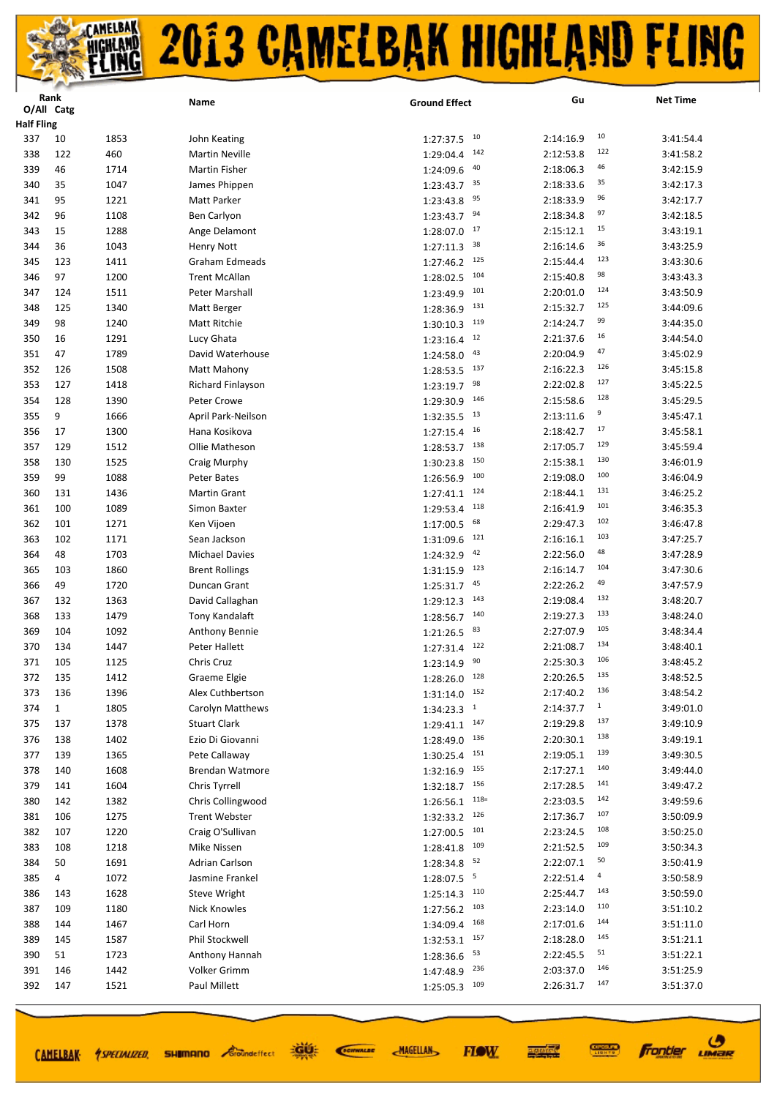|                   | Rank         |      | Name                   | <b>Ground Effect</b>     | Gu        | <b>Net Time</b>          |
|-------------------|--------------|------|------------------------|--------------------------|-----------|--------------------------|
|                   | O/All Catg   |      |                        |                          |           |                          |
| <b>Half Fling</b> |              |      |                        |                          |           |                          |
| 337               | 10           | 1853 | John Keating           | 10<br>1:27:37.5          | 2:14:16.9 | 10<br>3:41:54.4          |
| 338               | 122          | 460  | <b>Martin Neville</b>  | 142<br>1:29:04.4         | 2:12:53.8 | 122<br>3:41:58.2         |
| 339               | 46           | 1714 | Martin Fisher          | 40<br>1:24:09.6          | 2:18:06.3 | 46<br>3:42:15.9          |
| 340               | 35           | 1047 | James Phippen          | 35<br>1:23:43.7          | 2:18:33.6 | 35<br>3:42:17.3          |
| 341               | 95           | 1221 | Matt Parker            | 95<br>1:23:43.8          | 2:18:33.9 | 96<br>3:42:17.7          |
| 342               | 96           | 1108 | Ben Carlyon            | 94<br>1:23:43.7          | 2:18:34.8 | 97<br>3:42:18.5          |
| 343               | 15           | 1288 | Ange Delamont          | 17<br>1:28:07.0          | 2:15:12.1 | 15<br>3:43:19.1          |
| 344               | 36           | 1043 | <b>Henry Nott</b>      | 38<br>1:27:11.3          | 2:16:14.6 | 36<br>3:43:25.9          |
| 345               | 123          | 1411 | Graham Edmeads         | 1:27:46.2<br>125         | 2:15:44.4 | 123<br>3:43:30.6         |
| 346               | 97           | 1200 | <b>Trent McAllan</b>   | 104<br>1:28:02.5         | 2:15:40.8 | 98<br>3:43:43.3          |
| 347               | 124          | 1511 | Peter Marshall         | 101<br>1:23:49.9         | 2:20:01.0 | 124<br>3:43:50.9         |
| 348               | 125          | 1340 | Matt Berger            | 131<br>1:28:36.9         | 2:15:32.7 | 125<br>3:44:09.6         |
| 349               | 98           | 1240 | Matt Ritchie           | 119<br>1:30:10.3         | 2:14:24.7 | 99<br>3:44:35.0          |
| 350               | 16           | 1291 | Lucy Ghata             | 12<br>1:23:16.4          | 2:21:37.6 | 16<br>3:44:54.0          |
| 351               | 47           | 1789 | David Waterhouse       | 43<br>1:24:58.0          | 2:20:04.9 | 47<br>3:45:02.9          |
| 352               | 126          | 1508 | Matt Mahony            | 137<br>1:28:53.5         | 2:16:22.3 | 126<br>3:45:15.8         |
| 353               | 127          | 1418 | Richard Finlayson      | 98<br>1:23:19.7          | 2:22:02.8 | 127<br>3:45:22.5         |
| 354               | 128          | 1390 | Peter Crowe            | 146<br>1:29:30.9         | 2:15:58.6 | 128<br>3:45:29.5         |
|                   |              |      |                        | 13                       |           | 9                        |
| 355               | 9            | 1666 | April Park-Neilson     | 1:32:35.5                | 2:13:11.6 | 3:45:47.1<br>17          |
| 356               | 17           | 1300 | Hana Kosikova          | 16<br>1:27:15.4          | 2:18:42.7 | 3:45:58.1<br>129         |
| 357               | 129          | 1512 | Ollie Matheson         | 138<br>1:28:53.7         | 2:17:05.7 | 3:45:59.4                |
| 358               | 130          | 1525 | Craig Murphy           | 150<br>1:30:23.8         | 2:15:38.1 | 130<br>3:46:01.9         |
| 359               | 99           | 1088 | Peter Bates            | 100<br>1:26:56.9         | 2:19:08.0 | 100<br>3:46:04.9         |
| 360               | 131          | 1436 | <b>Martin Grant</b>    | 124<br>1:27:41.1         | 2:18:44.1 | 131<br>3:46:25.2         |
| 361               | 100          | 1089 | Simon Baxter           | 118<br>1:29:53.4         | 2:16:41.9 | 101<br>3:46:35.3         |
| 362               | 101          | 1271 | Ken Vijoen             | 68<br>1:17:00.5          | 2:29:47.3 | 102<br>3:46:47.8         |
| 363               | 102          | 1171 | Sean Jackson           | 121<br>1:31:09.6         | 2:16:16.1 | 103<br>3:47:25.7         |
| 364               | 48           | 1703 | <b>Michael Davies</b>  | 42<br>1:24:32.9          | 2:22:56.0 | 48<br>3:47:28.9          |
| 365               | 103          | 1860 | <b>Brent Rollings</b>  | 123<br>1:31:15.9         | 2:16:14.7 | 104<br>3:47:30.6         |
| 366               | 49           | 1720 | Duncan Grant           | 45<br>1:25:31.7          | 2:22:26.2 | 49<br>3:47:57.9          |
| 367               | 132          | 1363 | David Callaghan        | 143<br>1:29:12.3         | 2:19:08.4 | 132<br>3:48:20.7         |
| 368               | 133          | 1479 | Tony Kandalaft         | 140<br>1:28:56.7         | 2:19:27.3 | 133<br>3:48:24.0         |
| 369               | 104          | 1092 | Anthony Bennie         | 83<br>1:21:26.5          | 2:27:07.9 | 105<br>3:48:34.4         |
| 370               | 134          | 1447 | Peter Hallett          | 122<br>1:27:31.4         | 2:21:08.7 | 134<br>3:48:40.1         |
| 371               | 105          | 1125 | Chris Cruz             | 90<br>1:23:14.9          | 2:25:30.3 | 106<br>3:48:45.2         |
| 372               | 135          | 1412 | Graeme Elgie           | $1:28:26.0$ $128$        | 2:20:26.5 | 135<br>3:48:52.5         |
| 373               | 136          | 1396 | Alex Cuthbertson       | $1:31:14.0$ $152$        | 2:17:40.2 | 136<br>3:48:54.2         |
| 374               | $\mathbf{1}$ | 1805 | Carolyn Matthews       | $1:34:23.3$ <sup>1</sup> | 2:14:37.7 | $\mathbf 1$<br>3:49:01.0 |
| 375               | 137          | 1378 | <b>Stuart Clark</b>    | $1:29:41.1$ $147$        | 2:19:29.8 | 137<br>3:49:10.9         |
| 376               | 138          | 1402 | Ezio Di Giovanni       | 136<br>1:28:49.0         | 2:20:30.1 | 138<br>3:49:19.1         |
| 377               | 139          | 1365 | Pete Callaway          | $1:30:25.4$ 151          | 2:19:05.1 | 139<br>3:49:30.5         |
|                   |              |      | <b>Brendan Watmore</b> | 155                      | 2:17:27.1 | 140                      |
| 378               | 140          | 1608 |                        | 1:32:16.9<br>156         |           | 3:49:44.0<br>141         |
| 379               | 141          | 1604 | Chris Tyrrell          | 1:32:18.7                | 2:17:28.5 | 3:49:47.2<br>142         |
| 380               | 142          | 1382 | Chris Collingwood      | $118=$<br>1:26:56.1      | 2:23:03.5 | 3:49:59.6<br>107         |
| 381               | 106          | 1275 | <b>Trent Webster</b>   | 126<br>1:32:33.2         | 2:17:36.7 | 3:50:09.9                |
| 382               | 107          | 1220 | Craig O'Sullivan       | 101<br>1:27:00.5         | 2:23:24.5 | 108<br>3:50:25.0         |
| 383               | 108          | 1218 | Mike Nissen            | 1:28:41.8<br>109         | 2:21:52.5 | 109<br>3:50:34.3         |
| 384               | 50           | 1691 | Adrian Carlson         | 52<br>1:28:34.8          | 2:22:07.1 | 50<br>3:50:41.9          |
| 385               | 4            | 1072 | Jasmine Frankel        | 1:28:07.5<br>5           | 2:22:51.4 | 4<br>3:50:58.9           |
| 386               | 143          | 1628 | <b>Steve Wright</b>    | 1:25:14.3<br>110         | 2:25:44.7 | 143<br>3:50:59.0         |
| 387               | 109          | 1180 | Nick Knowles           | 103<br>1:27:56.2         | 2:23:14.0 | 110<br>3:51:10.2         |
| 388               | 144          | 1467 | Carl Horn              | 168<br>1:34:09.4         | 2:17:01.6 | 144<br>3:51:11.0         |
| 389               | 145          | 1587 | Phil Stockwell         | 157<br>1:32:53.1         | 2:18:28.0 | 145<br>3:51:21.1         |
| 390               | 51           | 1723 | Anthony Hannah         | 53<br>1:28:36.6          | 2:22:45.5 | 51<br>3:51:22.1          |
| 391               | 146          | 1442 | Volker Grimm           | 236<br>1:47:48.9         | 2:03:37.0 | 146<br>3:51:25.9         |
| 392               | 147          | 1521 | Paul Millett           | 109<br>1:25:05.3         | 2:26:31.7 | 147<br>3:51:37.0         |
|                   |              |      |                        |                          |           |                          |

道好

**SHIMANO** *Groundeffect* 

CAMELBAK *ASPECIALIZED* 

SCIENALDE

**MAGELLAN** 

 $\boldsymbol{\vartheta}$ 

**Frontier LIMBR** 

**CONNECT** 

医硬体质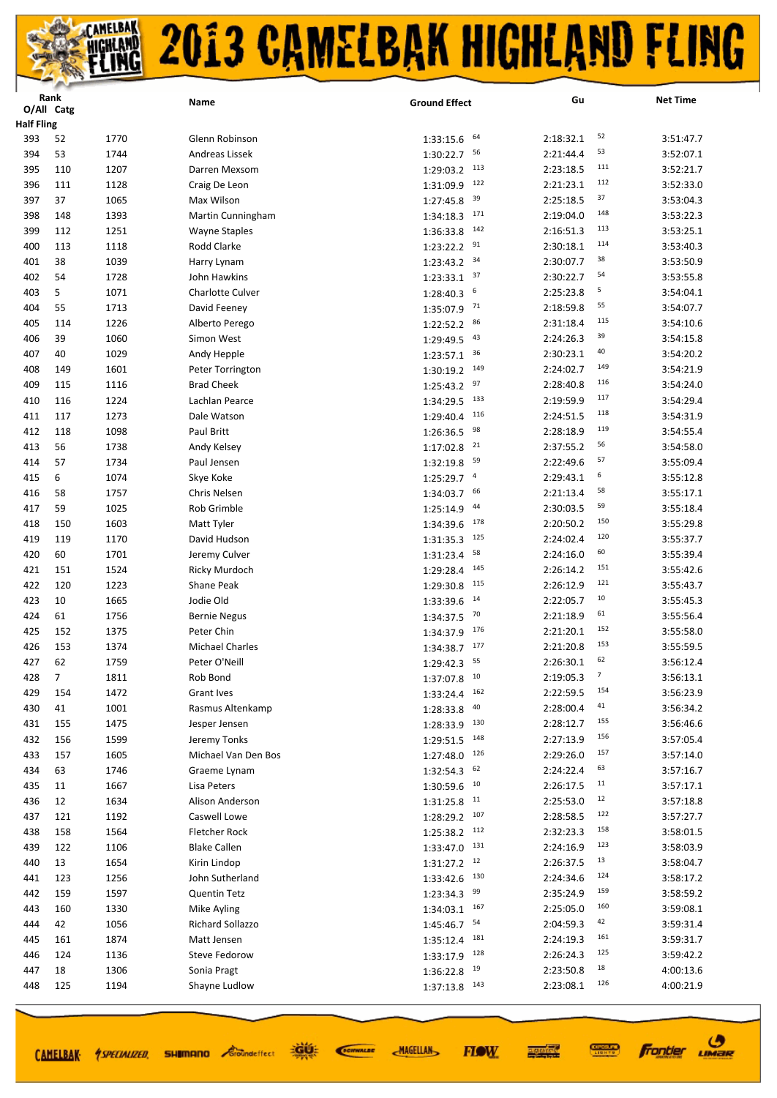|                          | Rank       |              | Name                        | <b>Ground Effect</b>        | Gu                           | <b>Net Time</b>        |
|--------------------------|------------|--------------|-----------------------------|-----------------------------|------------------------------|------------------------|
|                          | O/All Catg |              |                             |                             |                              |                        |
| <b>Half Fling</b><br>393 | 52         | 1770         | Glenn Robinson              | 64                          | 52<br>2:18:32.1              | 3:51:47.7              |
|                          | 53         | 1744         | Andreas Lissek              | 1:33:15.6<br>56             | 53<br>2:21:44.4              | 3:52:07.1              |
| 394<br>395               | 110        |              |                             | 1:30:22.7                   | 111                          |                        |
| 396                      | 111        | 1207         | Darren Mexsom               | $1:29:03.2$ 113<br>122      | 2:23:18.5<br>112             | 3:52:21.7              |
| 397                      | 37         | 1128<br>1065 | Craig De Leon<br>Max Wilson | 1:31:09.9<br>39             | 2:21:23.1<br>37<br>2:25:18.5 | 3:52:33.0<br>3:53:04.3 |
|                          |            |              |                             | 1:27:45.8<br>171            | 148                          |                        |
| 398<br>399               | 148        | 1393<br>1251 | Martin Cunningham           | 1:34:18.3<br>142            | 2:19:04.0<br>113             | 3:53:22.3              |
| 400                      | 112        |              | <b>Wayne Staples</b>        | 1:36:33.8<br>91             | 2:16:51.3<br>114             | 3:53:25.1<br>3:53:40.3 |
|                          | 113        | 1118         | Rodd Clarke                 | 1:23:22.2<br>34             | 2:30:18.1<br>38<br>2:30:07.7 |                        |
| 401                      | 38         | 1039         | Harry Lynam                 | 1:23:43.2<br>37             | 54                           | 3:53:50.9              |
| 402                      | 54<br>5    | 1728         | John Hawkins                | 1:23:33.1<br>6              | 2:30:22.7<br>5               | 3:53:55.8              |
| 403                      |            | 1071         | Charlotte Culver            | 1:28:40.3<br>71             | 2:25:23.8<br>55              | 3:54:04.1              |
| 404                      | 55         | 1713         | David Feeney                | 1:35:07.9<br>86             | 2:18:59.8<br>115             | 3:54:07.7              |
| 405                      | 114        | 1226         | Alberto Perego              | 1:22:52.2<br>43             | 2:31:18.4<br>39              | 3:54:10.6              |
| 406                      | 39         | 1060         | Simon West                  | 1:29:49.5<br>36             | 2:24:26.3<br>40              | 3:54:15.8              |
| 407                      | 40         | 1029         | Andy Hepple                 | 1:23:57.1<br>149            | 2:30:23.1<br>149             | 3:54:20.2              |
| 408                      | 149        | 1601         | Peter Torrington            | 1:30:19.2<br>97             | 2:24:02.7<br>116             | 3:54:21.9              |
| 409                      | 115        | 1116         | <b>Brad Cheek</b>           | 1:25:43.2<br>133            | 2:28:40.8<br>117             | 3:54:24.0              |
| 410                      | 116        | 1224         | Lachlan Pearce              | 1:34:29.5<br>116            | 2:19:59.9<br>118             | 3:54:29.4              |
| 411                      | 117        | 1273         | Dale Watson                 | 1:29:40.4<br>98             | 2:24:51.5<br>119             | 3:54:31.9              |
| 412                      | 118        | 1098         | Paul Britt                  | 1:26:36.5<br>21             | 2:28:18.9<br>56              | 3:54:55.4              |
| 413                      | 56         | 1738         | Andy Kelsey                 | 1:17:02.8                   | 2:37:55.2<br>57              | 3:54:58.0              |
| 414                      | 57         | 1734         | Paul Jensen                 | 59<br>1:32:19.8             | 2:22:49.6<br>6               | 3:55:09.4              |
| 415                      | 6          | 1074         | Skye Koke                   | $\overline{4}$<br>1:25:29.7 | 2:29:43.1<br>58              | 3:55:12.8              |
| 416                      | 58         | 1757         | Chris Nelsen                | 66<br>1:34:03.7             | 2:21:13.4<br>59              | 3:55:17.1              |
| 417                      | 59         | 1025         | Rob Grimble                 | 44<br>1:25:14.9             | 2:30:03.5                    | 3:55:18.4              |
| 418                      | 150        | 1603         | Matt Tyler                  | 178<br>1:34:39.6            | 150<br>2:20:50.2<br>120      | 3:55:29.8              |
| 419                      | 119        | 1170         | David Hudson                | 125<br>1:31:35.3            | 2:24:02.4                    | 3:55:37.7              |
| 420                      | 60         | 1701         | Jeremy Culver               | 58<br>1:31:23.4             | 60<br>2:24:16.0              | 3:55:39.4              |
| 421                      | 151        | 1524         | Ricky Murdoch               | 145<br>1:29:28.4            | 151<br>2:26:14.2             | 3:55:42.6              |
| 422                      | 120        | 1223         | Shane Peak                  | 115<br>1:29:30.8            | 121<br>2:26:12.9<br>10       | 3:55:43.7              |
| 423                      | 10         | 1665         | Jodie Old                   | 14<br>1:33:39.6             | 2:22:05.7<br>61              | 3:55:45.3              |
| 424                      | 61         | 1756         | <b>Bernie Negus</b>         | 70<br>1:34:37.5             | 2:21:18.9<br>152             | 3:55:56.4              |
| 425                      | 152        | 1375         | Peter Chin                  | 176<br>1:34:37.9            | 2:21:20.1<br>153             | 3:55:58.0              |
| 426                      | 153        | 1374         | <b>Michael Charles</b>      | 177<br>1:34:38.7            | 2:21:20.8<br>62              | 3:55:59.5              |
| 427                      | 62         | 1759         | Peter O'Neill               | 55<br>1:29:42.3             | 2:26:30.1<br>7               | 3:56:12.4              |
| 428                      | 7          | 1811         | Rob Bond                    | $1:37:07.8$ <sup>10</sup>   | 2:19:05.3                    | 3:56:13.1              |
| 429                      | 154        | 1472         | Grant Ives                  | 162<br>1:33:24.4            | 154<br>2:22:59.5<br>41       | 3:56:23.9              |
| 430                      | 41         | 1001         | Rasmus Altenkamp            | 40<br>1:28:33.8             | 2:28:00.4                    | 3:56:34.2              |
| 431                      | 155        | 1475         | Jesper Jensen               | 130<br>1:28:33.9            | 155<br>2:28:12.7<br>156      | 3:56:46.6              |
| 432                      | 156        | 1599         | Jeremy Tonks                | 148<br>1:29:51.5            | 2:27:13.9                    | 3:57:05.4              |
| 433                      | 157        | 1605         | Michael Van Den Bos         | 1:27:48.0<br>126            | 157<br>2:29:26.0             | 3:57:14.0              |
| 434                      | 63         | 1746         | Graeme Lynam                | 62<br>1:32:54.3             | 63<br>2:24:22.4              | 3:57:16.7              |
| 435                      | 11         | 1667         | Lisa Peters                 | 1:30:59.6<br>10             | 11<br>2:26:17.5              | 3:57:17.1              |
| 436                      | 12         | 1634         | Alison Anderson             | 11<br>1:31:25.8             | 12<br>2:25:53.0              | 3:57:18.8              |
| 437                      | 121        | 1192         | Caswell Lowe                | 107<br>1:28:29.2            | 122<br>2:28:58.5             | 3:57:27.7              |
| 438                      | 158        | 1564         | <b>Fletcher Rock</b>        | 112<br>1:25:38.2            | 158<br>2:32:23.3             | 3:58:01.5              |
| 439                      | 122        | 1106         | <b>Blake Callen</b>         | 1:33:47.0<br>131            | 123<br>2:24:16.9             | 3:58:03.9              |
| 440                      | 13         | 1654         | Kirin Lindop                | 12<br>1:31:27.2             | 13<br>2:26:37.5              | 3:58:04.7              |
| 441                      | 123        | 1256         | John Sutherland             | 130<br>1:33:42.6            | 124<br>2:24:34.6             | 3:58:17.2              |
| 442                      | 159        | 1597         | <b>Quentin Tetz</b>         | 99<br>1:23:34.3             | 159<br>2:35:24.9             | 3:58:59.2              |
| 443                      | 160        | 1330         | Mike Ayling                 | 167<br>1:34:03.1            | 160<br>2:25:05.0             | 3:59:08.1              |
| 444                      | 42         | 1056         | Richard Sollazzo            | 54<br>1:45:46.7             | 42<br>2:04:59.3              | 3:59:31.4              |
| 445                      | 161        | 1874         | Matt Jensen                 | 181<br>1:35:12.4            | 161<br>2:24:19.3             | 3:59:31.7              |
| 446                      | 124        | 1136         | Steve Fedorow               | 128<br>1:33:17.9            | 125<br>2:26:24.3             | 3:59:42.2              |
| 447                      | 18         | 1306         | Sonia Pragt                 | 19<br>1:36:22.8             | 18<br>2:23:50.8              | 4:00:13.6              |
| 448                      | 125        | 1194         | Shayne Ludlow               | $1:37:13.8$ $143$           | 126<br>2:23:08.1             | 4:00:21.9              |
|                          |            |              |                             |                             |                              |                        |

道好

**SHIMANO** *Groundeffect* 

CAMELBAK *ASPECIALIZED* 

SCIENALDE

**MAGELLAN** 

**Frontier UMBR** 

**CONNECT** 

医硬体质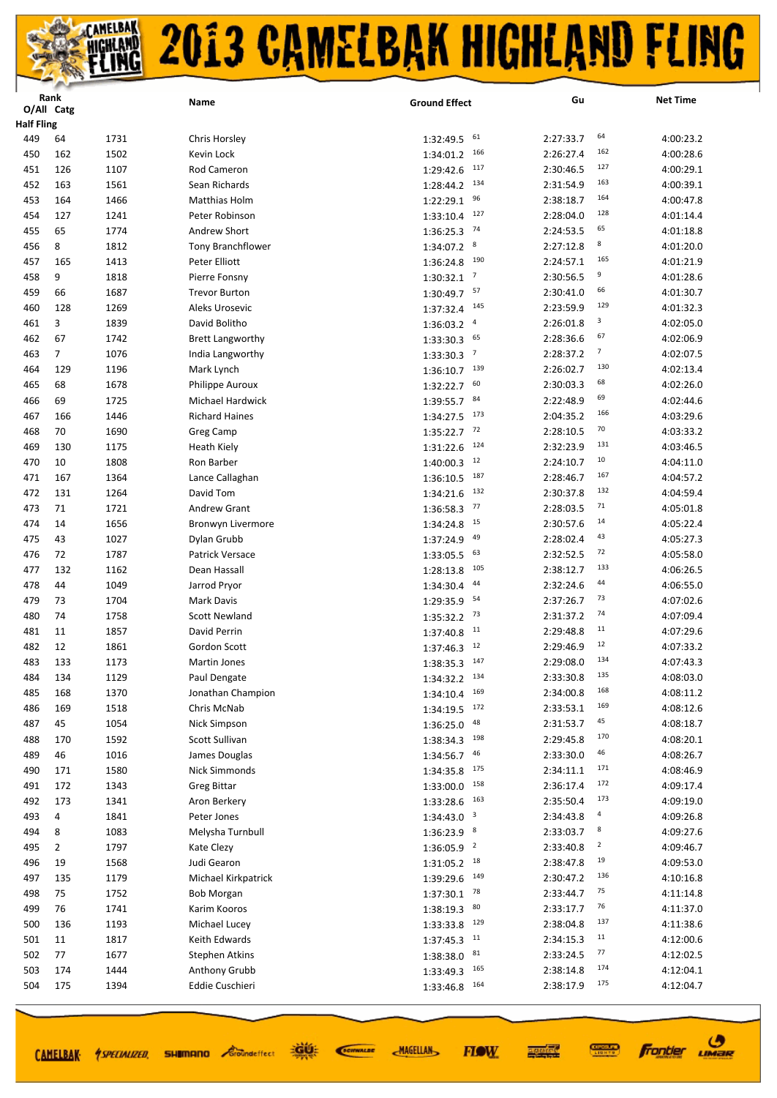|                   | Rank           |      | Name                    | <b>Ground Effect</b>                               | Gu        | <b>Net Time</b>                       |
|-------------------|----------------|------|-------------------------|----------------------------------------------------|-----------|---------------------------------------|
|                   | O/All Catg     |      |                         |                                                    |           |                                       |
| <b>Half Fling</b> |                |      |                         |                                                    |           | 64                                    |
| 449               | 64             | 1731 | Chris Horsley           | 61<br>1:32:49.5<br>166                             | 2:27:33.7 | 4:00:23.2<br>162                      |
| 450               | 162            | 1502 | Kevin Lock              | 1:34:01.2                                          | 2:26:27.4 | 4:00:28.6<br>127                      |
| 451               | 126            | 1107 | Rod Cameron             | 117<br>1:29:42.6                                   | 2:30:46.5 | 4:00:29.1<br>163                      |
| 452               | 163            | 1561 | Sean Richards           | 134<br>1:28:44.2                                   | 2:31:54.9 | 4:00:39.1                             |
| 453               | 164            | 1466 | Matthias Holm           | 96<br>1:22:29.1                                    | 2:38:18.7 | 164<br>4:00:47.8                      |
| 454               | 127            | 1241 | Peter Robinson          | 127<br>1:33:10.4                                   | 2:28:04.0 | 128<br>4:01:14.4                      |
| 455               | 65             | 1774 | Andrew Short            | 74<br>1:36:25.3                                    | 2:24:53.5 | 65<br>4:01:18.8                       |
| 456               | 8              | 1812 | Tony Branchflower       | 8<br>1:34:07.2                                     | 2:27:12.8 | 8<br>4:01:20.0                        |
| 457               | 165            | 1413 | Peter Elliott           | 190<br>1:36:24.8                                   | 2:24:57.1 | 165<br>4:01:21.9                      |
| 458               | 9              | 1818 | Pierre Fonsny           | $\overline{7}$<br>1:30:32.1                        | 2:30:56.5 | 9<br>4:01:28.6                        |
| 459               | 66             | 1687 | <b>Trevor Burton</b>    | 57<br>1:30:49.7                                    | 2:30:41.0 | 66<br>4:01:30.7                       |
| 460               | 128            | 1269 | Aleks Urosevic          | 145<br>1:37:32.4                                   | 2:23:59.9 | 129<br>4:01:32.3                      |
| 461               | 3              | 1839 | David Bolitho           | $\overline{4}$<br>1:36:03.2                        | 2:26:01.8 | 3<br>4:02:05.0                        |
| 462               | 67             | 1742 | <b>Brett Langworthy</b> | 65<br>1:33:30.3                                    | 2:28:36.6 | 67<br>4:02:06.9                       |
| 463               | $\overline{7}$ | 1076 | India Langworthy        | $\overline{7}$<br>1:33:30.3                        | 2:28:37.2 | $\overline{\phantom{a}}$<br>4:02:07.5 |
| 464               | 129            | 1196 | Mark Lynch              | 139<br>1:36:10.7                                   | 2:26:02.7 | 130<br>4:02:13.4                      |
| 465               | 68             | 1678 | Philippe Auroux         | 60<br>1:32:22.7                                    | 2:30:03.3 | 68<br>4:02:26.0                       |
| 466               | 69             | 1725 | Michael Hardwick        | 84<br>1:39:55.7                                    | 2:22:48.9 | 69<br>4:02:44.6                       |
| 467               | 166            | 1446 | <b>Richard Haines</b>   | 173<br>1:34:27.5                                   | 2:04:35.2 | 166<br>4:03:29.6                      |
| 468               | 70             | 1690 | Greg Camp               | 72<br>1:35:22.7                                    | 2:28:10.5 | 70<br>4:03:33.2                       |
| 469               | 130            | 1175 | <b>Heath Kiely</b>      | 124<br>1:31:22.6                                   | 2:32:23.9 | 131<br>4:03:46.5                      |
| 470               | 10             | 1808 | Ron Barber              | 12<br>1:40:00.3                                    | 2:24:10.7 | 10<br>4:04:11.0                       |
| 471               | 167            | 1364 | Lance Callaghan         | 187<br>1:36:10.5                                   | 2:28:46.7 | 167<br>4:04:57.2                      |
| 472               | 131            | 1264 | David Tom               | 132<br>1:34:21.6                                   | 2:30:37.8 | 132<br>4:04:59.4                      |
| 473               | 71             | 1721 | <b>Andrew Grant</b>     | 77<br>1:36:58.3                                    | 2:28:03.5 | 71<br>4:05:01.8                       |
| 474               | 14             | 1656 | Bronwyn Livermore       | 15<br>1:34:24.8                                    | 2:30:57.6 | 14<br>4:05:22.4                       |
| 475               | 43             | 1027 | Dylan Grubb             | 49<br>1:37:24.9                                    | 2:28:02.4 | 43<br>4:05:27.3                       |
| 476               | 72             | 1787 | Patrick Versace         | 63<br>1:33:05.5                                    | 2:32:52.5 | 72<br>4:05:58.0                       |
| 477               | 132            | 1162 | Dean Hassall            | 105<br>1:28:13.8                                   | 2:38:12.7 | 133<br>4:06:26.5                      |
| 478               | 44             | 1049 | Jarrod Pryor            | 44<br>1:34:30.4                                    | 2:32:24.6 | 44<br>4:06:55.0                       |
| 479               | 73             | 1704 | Mark Davis              | 54<br>1:29:35.9                                    | 2:37:26.7 | 73<br>4:07:02.6                       |
| 480               | 74             | 1758 | <b>Scott Newland</b>    | 73<br>1:35:32.2                                    | 2:31:37.2 | 74<br>4:07:09.4                       |
| 481               | 11             | 1857 | David Perrin            | 11<br>1:37:40.8                                    | 2:29:48.8 | 11<br>4:07:29.6                       |
| 482               | 12             | 1861 | Gordon Scott            | 12<br>1:37:46.3                                    | 2:29:46.9 | 12<br>4:07:33.2                       |
| 483               | 133            | 1173 | Martin Jones            | 147<br>1:38:35.3                                   | 2:29:08.0 | 134<br>4:07:43.3                      |
| 484               | 134            | 1129 | Paul Dengate            | $1:34:32.2$ $134$                                  | 2:33:30.8 | 135<br>4:08:03.0                      |
| 485               | 168            | 1370 | Jonathan Champion       | 169<br>1:34:10.4                                   | 2:34:00.8 | 168<br>4:08:11.2                      |
| 486               | 169            | 1518 | Chris McNab             | $1:34:19.5$ $172$                                  | 2:33:53.1 | 169<br>4:08:12.6                      |
| 487               | 45             | 1054 | Nick Simpson            | 48<br>1:36:25.0                                    | 2:31:53.7 | 45<br>4:08:18.7                       |
| 488               | 170            | 1592 | Scott Sullivan          | 198<br>1:38:34.3                                   | 2:29:45.8 | 170<br>4:08:20.1                      |
| 489               | 46             | 1016 | James Douglas           | 1:34:56.7<br>46                                    | 2:33:30.0 | 46<br>4:08:26.7                       |
| 490               | 171            | 1580 | Nick Simmonds           | 175<br>1:34:35.8                                   | 2:34:11.1 | 171<br>4:08:46.9                      |
| 491               | 172            | 1343 | <b>Greg Bittar</b>      | 158<br>1:33:00.0                                   | 2:36:17.4 | 172<br>4:09:17.4                      |
| 492               | 173            | 1341 | Aron Berkery            | 163<br>1:33:28.6                                   | 2:35:50.4 | 173<br>4:09:19.0                      |
| 493               | 4              | 1841 | Peter Jones             | $\overline{\mathbf{3}}$<br>1:34:43.0               | 2:34:43.8 | 4<br>4:09:26.8                        |
| 494               | 8              | 1083 | Melysha Turnbull        | 8                                                  | 2:33:03.7 | 8<br>4:09:27.6                        |
| 495               | 2              | 1797 | Kate Clezy              | 1:36:23.9<br>1:36:05.9<br>$\overline{\phantom{0}}$ | 2:33:40.8 | $\overline{\mathbf{c}}$<br>4:09:46.7  |
| 496               | 19             | 1568 | Judi Gearon             | 18                                                 | 2:38:47.8 | 19<br>4:09:53.0                       |
| 497               | 135            | 1179 | Michael Kirkpatrick     | 1:31:05.2<br>149                                   | 2:30:47.2 | 136<br>4:10:16.8                      |
|                   |                |      |                         | 1:39:29.6<br>78                                    |           | 75                                    |
| 498               | 75             | 1752 | <b>Bob Morgan</b>       | 1:37:30.1<br>80                                    | 2:33:44.7 | 4:11:14.8<br>76                       |
| 499               | 76             | 1741 | Karim Kooros            | 1:38:19.3                                          | 2:33:17.7 | 4:11:37.0<br>137                      |
| 500               | 136            | 1193 | Michael Lucey           | 1:33:33.8<br>129                                   | 2:38:04.8 | 4:11:38.6<br>11                       |
| 501               | 11             | 1817 | Keith Edwards           | 11<br>1:37:45.3                                    | 2:34:15.3 | 4:12:00.6<br>77                       |
| 502               | 77             | 1677 | <b>Stephen Atkins</b>   | 81<br>1:38:38.0                                    | 2:33:24.5 | 4:12:02.5<br>174                      |
| 503               | 174            | 1444 | Anthony Grubb           | 165<br>1:33:49.3                                   | 2:38:14.8 | 4:12:04.1<br>175                      |
| 504               | 175            | 1394 | Eddie Cuschieri         | 164<br>1:33:46.8                                   | 2:38:17.9 | 4:12:04.7                             |
|                   |                |      |                         |                                                    |           |                                       |

道好

CAMELBAK *SPECIALIZED* SHUMANO *Eroundeffect* 

SCIENALDE

**MAGELLAN** 

**FIOW** 

**Frontier UMBR** 

**CONNECT** 

医学院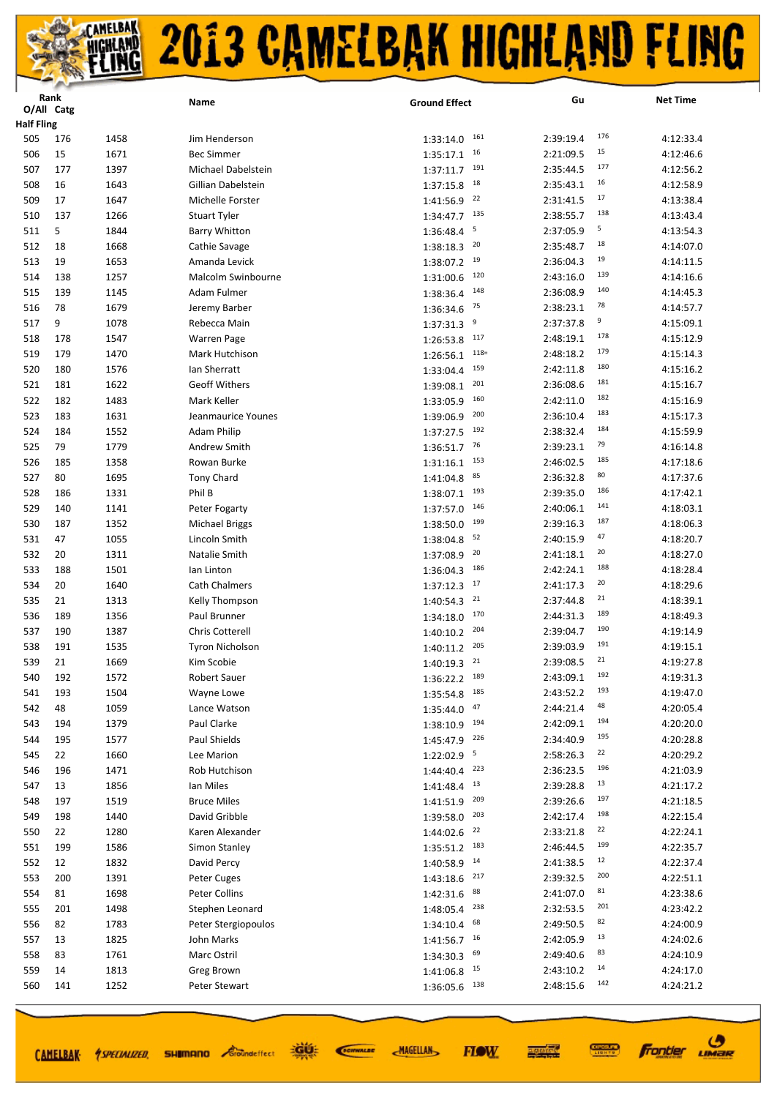|                   | Rank |      | Name                  | <b>Ground Effect</b>       | Gu        | <b>Net Time</b>  |
|-------------------|------|------|-----------------------|----------------------------|-----------|------------------|
| O/All Catg        |      |      |                       |                            |           |                  |
| <b>Half Fling</b> |      |      |                       |                            |           | 176              |
| 505               | 176  | 1458 | Jim Henderson         | 161<br>1:33:14.0           | 2:39:19.4 | 4:12:33.4<br>15  |
| 506               | 15   | 1671 | <b>Bec Simmer</b>     | 16<br>1:35:17.1            | 2:21:09.5 | 4:12:46.6        |
| 507               | 177  | 1397 | Michael Dabelstein    | 191<br>1:37:11.7           | 2:35:44.5 | 177<br>4:12:56.2 |
| 508               | 16   | 1643 | Gillian Dabelstein    | 18<br>1:37:15.8            | 2:35:43.1 | 16<br>4:12:58.9  |
| 509               | 17   | 1647 | Michelle Forster      | 22<br>1:41:56.9            | 2:31:41.5 | 17<br>4:13:38.4  |
| 510               | 137  | 1266 | <b>Stuart Tyler</b>   | 135<br>1:34:47.7           | 2:38:55.7 | 138<br>4:13:43.4 |
| 511               | 5    | 1844 | <b>Barry Whitton</b>  | 5<br>1:36:48.4             | 2:37:05.9 | 5<br>4:13:54.3   |
| 512               | 18   | 1668 | Cathie Savage         | 20<br>1:38:18.3            | 2:35:48.7 | 18<br>4:14:07.0  |
| 513               | 19   | 1653 | Amanda Levick         | 19<br>1:38:07.2            | 2:36:04.3 | 19<br>4:14:11.5  |
| 514               | 138  | 1257 | Malcolm Swinbourne    | 120<br>1:31:00.6           | 2:43:16.0 | 139<br>4:14:16.6 |
| 515               | 139  | 1145 | Adam Fulmer           | 148<br>1:38:36.4           | 2:36:08.9 | 140<br>4:14:45.3 |
| 516               | 78   | 1679 | Jeremy Barber         | 75<br>1:36:34.6            | 2:38:23.1 | 78<br>4:14:57.7  |
| 517               | 9    | 1078 | Rebecca Main          | 9<br>1:37:31.3             | 2:37:37.8 | 9<br>4:15:09.1   |
| 518               | 178  | 1547 | <b>Warren Page</b>    | 117<br>1:26:53.8           | 2:48:19.1 | 178<br>4:15:12.9 |
| 519               | 179  | 1470 | Mark Hutchison        | $118=$<br>1:26:56.1        | 2:48:18.2 | 179<br>4:15:14.3 |
| 520               | 180  | 1576 | lan Sherratt          | 159<br>1:33:04.4           | 2:42:11.8 | 180<br>4:15:16.2 |
| 521               | 181  | 1622 | <b>Geoff Withers</b>  | 201<br>1:39:08.1           | 2:36:08.6 | 181<br>4:15:16.7 |
| 522               | 182  | 1483 | Mark Keller           | 160<br>1:33:05.9           | 2:42:11.0 | 182<br>4:15:16.9 |
| 523               | 183  | 1631 | Jeanmaurice Younes    | 200<br>1:39:06.9           | 2:36:10.4 | 183<br>4:15:17.3 |
| 524               | 184  | 1552 | <b>Adam Philip</b>    | 192<br>1:37:27.5           | 2:38:32.4 | 184<br>4:15:59.9 |
| 525               | 79   | 1779 | Andrew Smith          | 76<br>1:36:51.7            | 2:39:23.1 | 79<br>4:16:14.8  |
|                   |      |      | Rowan Burke           | 153                        |           | 185              |
| 526               | 185  | 1358 |                       | 1:31:16.1<br>85            | 2:46:02.5 | 4:17:18.6<br>80  |
| 527               | 80   | 1695 | Tony Chard            | 1:41:04.8                  | 2:36:32.8 | 4:17:37.6<br>186 |
| 528               | 186  | 1331 | Phil B                | 193<br>1:38:07.1           | 2:39:35.0 | 4:17:42.1<br>141 |
| 529               | 140  | 1141 | Peter Fogarty         | 146<br>1:37:57.0           | 2:40:06.1 | 4:18:03.1<br>187 |
| 530               | 187  | 1352 | <b>Michael Briggs</b> | 199<br>1:38:50.0           | 2:39:16.3 | 4:18:06.3        |
| 531               | 47   | 1055 | Lincoln Smith         | 52<br>1:38:04.8            | 2:40:15.9 | 47<br>4:18:20.7  |
| 532               | 20   | 1311 | Natalie Smith         | 20<br>1:37:08.9            | 2:41:18.1 | 20<br>4:18:27.0  |
| 533               | 188  | 1501 | lan Linton            | 186<br>1:36:04.3           | 2:42:24.1 | 188<br>4:18:28.4 |
| 534               | 20   | 1640 | <b>Cath Chalmers</b>  | 17<br>1:37:12.3            | 2:41:17.3 | 20<br>4:18:29.6  |
| 535               | 21   | 1313 | Kelly Thompson        | 21<br>1:40:54.3            | 2:37:44.8 | 21<br>4:18:39.1  |
| 536               | 189  | 1356 | Paul Brunner          | 170<br>1:34:18.0           | 2:44:31.3 | 189<br>4:18:49.3 |
| 537               | 190  | 1387 | Chris Cotterell       | 204<br>1:40:10.2           | 2:39:04.7 | 190<br>4:19:14.9 |
| 538               | 191  | 1535 | Tyron Nicholson       | 205<br>1:40:11.2           | 2:39:03.9 | 191<br>4:19:15.1 |
| 539               | 21   | 1669 | Kim Scobie            | 21<br>1:40:19.3            | 2:39:08.5 | 21<br>4:19:27.8  |
| 540               | 192  | 1572 | Robert Sauer          | $1:36:22.2$ <sup>189</sup> | 2:43:09.1 | 192<br>4:19:31.3 |
| 541               | 193  | 1504 | Wayne Lowe            | 185<br>1:35:54.8           | 2:43:52.2 | 193<br>4:19:47.0 |
| 542               | 48   | 1059 | Lance Watson          | 47<br>1:35:44.0            | 2:44:21.4 | 48<br>4:20:05.4  |
| 543               | 194  | 1379 | Paul Clarke           | $1:38:10.9$ 194            | 2:42:09.1 | 194<br>4:20:20.0 |
| 544               | 195  | 1577 | Paul Shields          | 226<br>1:45:47.9           | 2:34:40.9 | 195<br>4:20:28.8 |
| 545               | 22   | 1660 | Lee Marion            | 1:22:02.9 5                | 2:58:26.3 | 22<br>4:20:29.2  |
| 546               | 196  | 1471 | Rob Hutchison         | 223<br>1:44:40.4           | 2:36:23.5 | 196<br>4:21:03.9 |
| 547               | 13   | 1856 | Ian Miles             | 13<br>1:41:48.4            | 2:39:28.8 | 13<br>4:21:17.2  |
| 548               | 197  | 1519 | <b>Bruce Miles</b>    | 209<br>1:41:51.9           | 2:39:26.6 | 197<br>4:21:18.5 |
| 549               | 198  | 1440 | David Gribble         | 203<br>1:39:58.0           | 2:42:17.4 | 198<br>4:22:15.4 |
| 550               | 22   | 1280 | Karen Alexander       | 22<br>1:44:02.6            | 2:33:21.8 | 22<br>4:22:24.1  |
| 551               | 199  | 1586 | Simon Stanley         | 183<br>1:35:51.2           | 2:46:44.5 | 199<br>4:22:35.7 |
| 552               | 12   | 1832 | David Percy           | 14<br>1:40:58.9            | 2:41:38.5 | 12<br>4:22:37.4  |
| 553               | 200  | 1391 | Peter Cuges           | 217<br>1:43:18.6           | 2:39:32.5 | 200<br>4:22:51.1 |
| 554               | 81   | 1698 | Peter Collins         | 88                         | 2:41:07.0 | 81<br>4:23:38.6  |
|                   |      |      |                       | 1:42:31.6<br>238           |           | 201              |
| 555               | 201  | 1498 | Stephen Leonard       | 1:48:05.4<br>68            | 2:32:53.5 | 4:23:42.2<br>82  |
| 556               | 82   | 1783 | Peter Stergiopoulos   | 1:34:10.4                  | 2:49:50.5 | 4:24:00.9<br>13  |
| 557               | 13   | 1825 | John Marks            | 1:41:56.7<br>16            | 2:42:05.9 | 4:24:02.6        |
| 558               | 83   | 1761 | Marc Ostril           | 69<br>1:34:30.3            | 2:49:40.6 | 83<br>4:24:10.9  |
| 559               | 14   | 1813 | Greg Brown            | 15<br>1:41:06.8            | 2:43:10.2 | 14<br>4:24:17.0  |
| 560               | 141  | 1252 | Peter Stewart         | 1:36:05.6<br>138           | 2:48:15.6 | 142<br>4:24:21.2 |
|                   |      |      |                       |                            |           |                  |

道理 SCIENALDE

**SHIMANO** *Groundeffect* 

**MAGELLAN** 

**CONNECT** 医硬体质

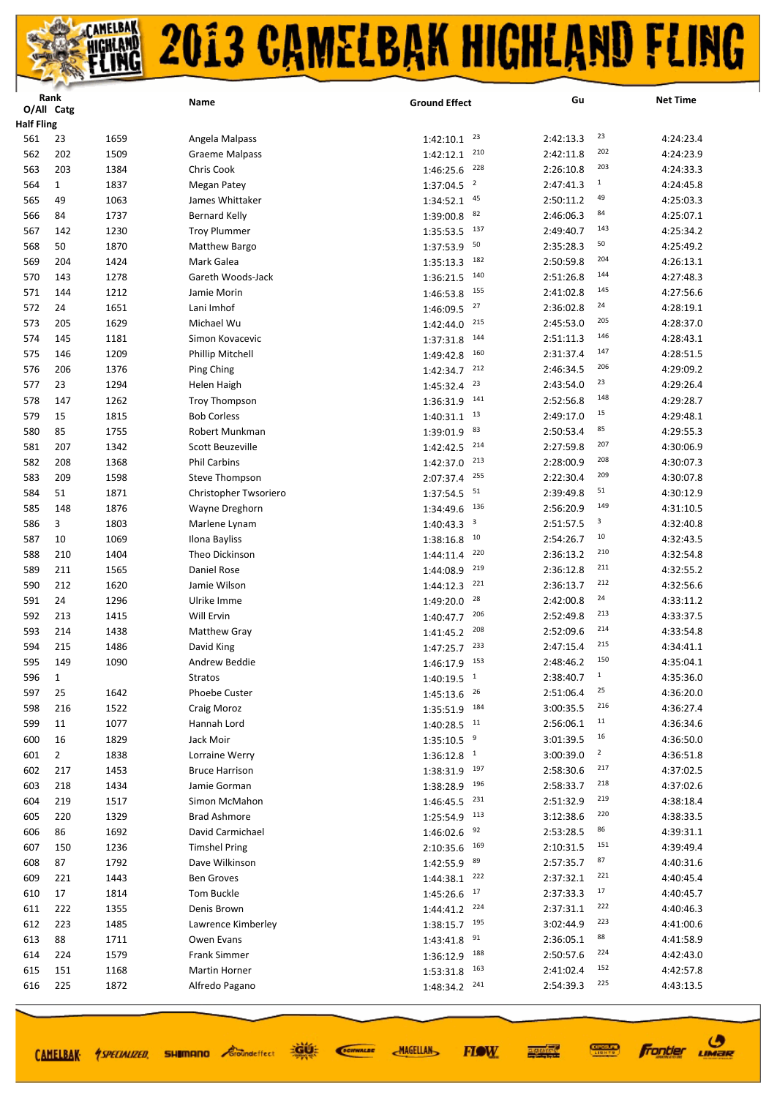|                   | Rank           |      | Name                  | <b>Ground Effect</b>                 | Gu        | <b>Net Time</b>             |
|-------------------|----------------|------|-----------------------|--------------------------------------|-----------|-----------------------------|
|                   | O/All Catg     |      |                       |                                      |           |                             |
| <b>Half Fling</b> |                |      |                       |                                      |           |                             |
| 561               | 23             | 1659 | Angela Malpass        | 23<br>1:42:10.1                      | 2:42:13.3 | 23<br>4:24:23.4             |
| 562               | 202            | 1509 | <b>Graeme Malpass</b> | 210<br>1:42:12.1                     | 2:42:11.8 | 202<br>4:24:23.9            |
| 563               | 203            | 1384 | Chris Cook            | 228<br>1:46:25.6                     | 2:26:10.8 | 203<br>4:24:33.3            |
| 564               | $\mathbf{1}$   | 1837 | Megan Patey           | $\overline{2}$<br>1:37:04.5          | 2:47:41.3 | $\mathbf{1}$<br>4:24:45.8   |
| 565               | 49             | 1063 | James Whittaker       | 45<br>1:34:52.1                      | 2:50:11.2 | 49<br>4:25:03.3             |
| 566               | 84             | 1737 | <b>Bernard Kelly</b>  | 82<br>1:39:00.8                      | 2:46:06.3 | 84<br>4:25:07.1             |
| 567               | 142            | 1230 | <b>Troy Plummer</b>   | 137<br>1:35:53.5                     | 2:49:40.7 | 143<br>4:25:34.2            |
| 568               | 50             | 1870 | Matthew Bargo         | 50<br>1:37:53.9                      | 2:35:28.3 | 50<br>4:25:49.2             |
| 569               | 204            | 1424 | Mark Galea            | 182<br>1:35:13.3                     | 2:50:59.8 | 204<br>4:26:13.1            |
| 570               | 143            | 1278 | Gareth Woods-Jack     | 140<br>1:36:21.5                     | 2:51:26.8 | 144<br>4:27:48.3            |
| 571               | 144            | 1212 | Jamie Morin           | 155<br>1:46:53.8                     | 2:41:02.8 | 145<br>4:27:56.6            |
| 572               | 24             | 1651 | Lani Imhof            | 27<br>1:46:09.5                      | 2:36:02.8 | 24<br>4:28:19.1             |
| 573               | 205            | 1629 | Michael Wu            | 215<br>1:42:44.0                     | 2:45:53.0 | 205<br>4:28:37.0            |
| 574               | 145            | 1181 | Simon Kovacevic       | 144<br>1:37:31.8                     | 2:51:11.3 | 146<br>4:28:43.1            |
| 575               | 146            | 1209 | Phillip Mitchell      | 160<br>1:49:42.8                     | 2:31:37.4 | 147<br>4:28:51.5            |
| 576               | 206            | 1376 | Ping Ching            | 212<br>1:42:34.7                     | 2:46:34.5 | 206<br>4:29:09.2            |
| 577               | 23             | 1294 |                       | 23                                   | 2:43:54.0 | 23<br>4:29:26.4             |
|                   |                | 1262 | Helen Haigh           | 1:45:32.4<br>141                     |           | 148                         |
| 578               | 147            |      | <b>Troy Thompson</b>  | 1:36:31.9<br>13                      | 2:52:56.8 | 4:29:28.7<br>15             |
| 579               | 15             | 1815 | <b>Bob Corless</b>    | 1:40:31.1                            | 2:49:17.0 | 4:29:48.1<br>85             |
| 580               | 85             | 1755 | Robert Munkman        | 83<br>1:39:01.9                      | 2:50:53.4 | 4:29:55.3<br>207            |
| 581               | 207            | 1342 | Scott Beuzeville      | 214<br>1:42:42.5                     | 2:27:59.8 | 4:30:06.9                   |
| 582               | 208            | 1368 | <b>Phil Carbins</b>   | 213<br>1:42:37.0                     | 2:28:00.9 | 208<br>4:30:07.3            |
| 583               | 209            | 1598 | Steve Thompson        | 255<br>2:07:37.4                     | 2:22:30.4 | 209<br>4:30:07.8            |
| 584               | 51             | 1871 | Christopher Twsoriero | 51<br>1:37:54.5                      | 2:39:49.8 | 51<br>4:30:12.9             |
| 585               | 148            | 1876 | Wayne Dreghorn        | 136<br>1:34:49.6                     | 2:56:20.9 | 149<br>4:31:10.5            |
| 586               | 3              | 1803 | Marlene Lynam         | $\overline{\mathbf{3}}$<br>1:40:43.3 | 2:51:57.5 | 3<br>4:32:40.8              |
| 587               | 10             | 1069 | Ilona Bayliss         | 10<br>1:38:16.8                      | 2:54:26.7 | 10<br>4:32:43.5             |
| 588               | 210            | 1404 | Theo Dickinson        | 220<br>1:44:11.4                     | 2:36:13.2 | 210<br>4:32:54.8            |
| 589               | 211            | 1565 | Daniel Rose           | 219<br>1:44:08.9                     | 2:36:12.8 | 211<br>4:32:55.2            |
| 590               | 212            | 1620 | Jamie Wilson          | 221<br>1:44:12.3                     | 2:36:13.7 | 212<br>4:32:56.6            |
| 591               | 24             | 1296 | Ulrike Imme           | 28<br>1:49:20.0                      | 2:42:00.8 | 24<br>4:33:11.2             |
| 592               | 213            | 1415 | Will Ervin            | 206<br>1:40:47.7                     | 2:52:49.8 | 213<br>4:33:37.5            |
| 593               | 214            | 1438 | <b>Matthew Gray</b>   | 208<br>1:41:45.2                     | 2:52:09.6 | 214<br>4:33:54.8            |
| 594               | 215            | 1486 | David King            | 233<br>1:47:25.7                     | 2:47:15.4 | 215<br>4:34:41.1            |
| 595               | 149            | 1090 | Andrew Beddie         | 153<br>1:46:17.9                     | 2:48:46.2 | 150<br>4:35:04.1            |
| 596               | 1              |      | Stratos               | $1:40:19.5$ <sup>1</sup>             | 2:38:40.7 | $\mathbf{1}$<br>4:35:36.0   |
| 597               | 25             | 1642 | <b>Phoebe Custer</b>  | 26<br>1:45:13.6                      | 2:51:06.4 | 25<br>4:36:20.0             |
| 598               | 216            | 1522 | Craig Moroz           | 184<br>1:35:51.9                     | 3:00:35.5 | 216<br>4:36:27.4            |
| 599               | 11             | 1077 | Hannah Lord           | $1:40:28.5$ <sup>11</sup>            | 2:56:06.1 | 11<br>4:36:34.6             |
| 600               | 16             | 1829 | Jack Moir             | 9<br>1:35:10.5                       | 3:01:39.5 | 16<br>4:36:50.0             |
| 601               | $\overline{2}$ | 1838 | Lorraine Werry        | $1:36:12.8$ <sup>1</sup>             | 3:00:39.0 | $\overline{2}$<br>4:36:51.8 |
| 602               | 217            | 1453 | <b>Bruce Harrison</b> | 197<br>1:38:31.9                     | 2:58:30.6 | 217<br>4:37:02.5            |
| 603               | 218            | 1434 | Jamie Gorman          | 196<br>1:38:28.9                     | 2:58:33.7 | 218<br>4:37:02.6            |
| 604               | 219            | 1517 | Simon McMahon         | 231<br>1:46:45.5                     | 2:51:32.9 | 219<br>4:38:18.4            |
| 605               | 220            | 1329 | <b>Brad Ashmore</b>   | 113<br>1:25:54.9                     | 3:12:38.6 | 220<br>4:38:33.5            |
| 606               | 86             | 1692 | David Carmichael      | 92<br>1:46:02.6                      | 2:53:28.5 | 86<br>4:39:31.1             |
| 607               | 150            | 1236 | <b>Timshel Pring</b>  | 169<br>2:10:35.6                     | 2:10:31.5 | 151<br>4:39:49.4            |
| 608               | 87             | 1792 | Dave Wilkinson        | 89                                   | 2:57:35.7 | 87<br>4:40:31.6             |
| 609               | 221            | 1443 | <b>Ben Groves</b>     | 1:42:55.9<br>222                     | 2:37:32.1 | 221<br>4:40:45.4            |
|                   |                |      |                       | 1:44:38.1<br>17                      |           | 17                          |
| 610               | 17             | 1814 | Tom Buckle            | 1:45:26.6<br>224                     | 2:37:33.3 | 4:40:45.7<br>222            |
| 611               | 222            | 1355 | Denis Brown           | 1:44:41.2                            | 2:37:31.1 | 4:40:46.3<br>223            |
| 612               | 223            | 1485 | Lawrence Kimberley    | 1:38:15.7<br>195                     | 3:02:44.9 | 4:41:00.6<br>88             |
| 613               | 88             | 1711 | Owen Evans            | 91<br>1:43:41.8                      | 2:36:05.1 | 4:41:58.9<br>224            |
| 614               | 224            | 1579 | <b>Frank Simmer</b>   | 1:36:12.9<br>188                     | 2:50:57.6 | 4:42:43.0                   |
| 615               | 151            | 1168 | Martin Horner         | 163<br>1:53:31.8                     | 2:41:02.4 | 152<br>4:42:57.8            |
| 616               | 225            | 1872 | Alfredo Pagano        | 241<br>1:48:34.2                     | 2:54:39.3 | 225<br>4:43:13.5            |
|                   |                |      |                       |                                      |           |                             |

道好 SCIENALDE

**MAGELLAN** 

**FIOW** 

**Frontier UMBR** 

**CONNECT** 

医学院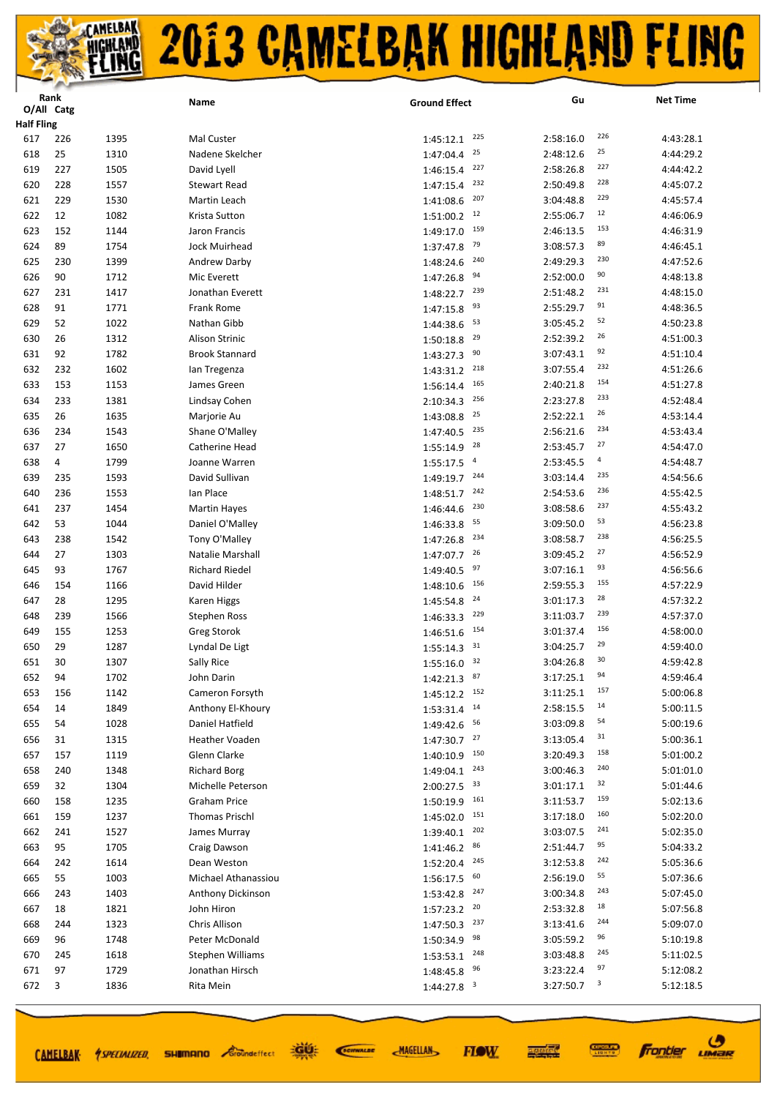|                   | Rank       |      | Name                  | <b>Ground Effect</b>        | Gu                     | <b>Net Time</b>              |
|-------------------|------------|------|-----------------------|-----------------------------|------------------------|------------------------------|
|                   | O/All Catg |      |                       |                             |                        |                              |
| <b>Half Fling</b> |            |      |                       |                             |                        |                              |
| 617               | 226        | 1395 | Mal Custer            | 225<br>1:45:12.1            | 2:58:16.0              | 226<br>4:43:28.1             |
| 618               | 25         | 1310 | Nadene Skelcher       | 25<br>1:47:04.4             | 2:48:12.6              | 25<br>4:44:29.2              |
| 619               | 227        | 1505 | David Lyell           | 227<br>1:46:15.4            | 2:58:26.8              | 227<br>4:44:42.2             |
| 620               | 228        | 1557 | <b>Stewart Read</b>   | 232<br>1:47:15.4            | 2:50:49.8              | 228<br>4:45:07.2             |
| 621               | 229        | 1530 | Martin Leach          | 207<br>1:41:08.6            | 3:04:48.8              | 229<br>4:45:57.4             |
| 622               | 12         | 1082 | Krista Sutton         | 12<br>1:51:00.2             | 2:55:06.7              | 12<br>4:46:06.9              |
| 623               | 152        | 1144 | Jaron Francis         | 159<br>1:49:17.0            | 2:46:13.5              | 153<br>4:46:31.9             |
| 624               | 89         | 1754 | Jock Muirhead         | 79<br>1:37:47.8             | 3:08:57.3              | 89<br>4:46:45.1              |
| 625               | 230        | 1399 | Andrew Darby          | 240<br>1:48:24.6            | 2:49:29.3              | 230<br>4:47:52.6             |
| 626               | 90         | 1712 | Mic Everett           | 94<br>1:47:26.8             | 2:52:00.0              | 90<br>4:48:13.8              |
| 627               | 231        | 1417 | Jonathan Everett      | 239<br>1:48:22.7            | 2:51:48.2              | 231<br>4:48:15.0             |
| 628               | 91         | 1771 | Frank Rome            | 93<br>1:47:15.8             | 2:55:29.7              | 91<br>4:48:36.5              |
| 629               | 52         | 1022 | Nathan Gibb           | 53<br>1:44:38.6             | 3:05:45.2              | 52<br>4:50:23.8              |
| 630               | 26         | 1312 | <b>Alison Strinic</b> | 29<br>1:50:18.8             | 2:52:39.2              | 26<br>4:51:00.3              |
| 631               | 92         | 1782 | <b>Brook Stannard</b> | 90<br>1:43:27.3             | 3:07:43.1              | 92<br>4:51:10.4              |
| 632               | 232        | 1602 | lan Tregenza          | 218<br>1:43:31.2            | 3:07:55.4              | 232<br>4:51:26.6             |
| 633               | 153        | 1153 | James Green           | 165<br>1:56:14.4            | 2:40:21.8              | 154<br>4:51:27.8             |
| 634               | 233        | 1381 | Lindsay Cohen         | 256<br>2:10:34.3            | 2:23:27.8              | 233<br>4:52:48.4             |
| 635               | 26         | 1635 | Marjorie Au           | 25<br>1:43:08.8             | 2:52:22.1              | 26<br>4:53:14.4              |
| 636               | 234        | 1543 | Shane O'Malley        | 235<br>1:47:40.5            | 2:56:21.6              | 234<br>4:53:43.4             |
| 637               | 27         | 1650 | <b>Catherine Head</b> | 28<br>1:55:14.9             | 2:53:45.7              | 27<br>4:54:47.0              |
| 638               | 4          | 1799 | Joanne Warren         | $\overline{a}$<br>1:55:17.5 | 2:53:45.5              | $\overline{a}$<br>4:54:48.7  |
| 639               | 235        | 1593 | David Sullivan        | 244<br>1:49:19.7            | 3:03:14.4              | 235<br>4:54:56.6             |
| 640               | 236        | 1553 | Ian Place             | 242<br>1:48:51.7            | 2:54:53.6              | 236<br>4:55:42.5             |
| 641               | 237        | 1454 | <b>Martin Hayes</b>   | 230<br>1:46:44.6            | 3:08:58.6              | 237<br>4:55:43.2             |
| 642               | 53         | 1044 | Daniel O'Malley       | 55<br>1:46:33.8             | 3:09:50.0              | 53<br>4:56:23.8              |
| 643               | 238        | 1542 | Tony O'Malley         | 234<br>1:47:26.8            | 3:08:58.7              | 238<br>4:56:25.5             |
| 644               | 27         | 1303 | Natalie Marshall      | 26<br>1:47:07.7             | 3:09:45.2              | 27<br>4:56:52.9              |
| 645               | 93         | 1767 | <b>Richard Riedel</b> | 97<br>1:49:40.5             | 3:07:16.1              | 93<br>4:56:56.6              |
| 646               | 154        | 1166 | David Hilder          | 156                         | 2:59:55.3              | 155<br>4:57:22.9             |
| 647               |            |      |                       | 1:48:10.6<br>24             |                        | 28                           |
| 648               | 28<br>239  | 1295 | Karen Higgs           | 1:45:54.8<br>229            | 3:01:17.3<br>3:11:03.7 | 4:57:32.2<br>239             |
|                   |            | 1566 | <b>Stephen Ross</b>   | 1:46:33.3<br>154            |                        | 4:57:37.0<br>156             |
| 649               | 155        | 1253 | <b>Greg Storok</b>    | 1:46:51.6<br>31             | 3:01:37.4              | 4:58:00.0<br>29              |
| 650               | 29         | 1287 | Lyndal De Ligt        | 1:55:14.3<br>32             | 3:04:25.7              | 4:59:40.0<br>30<br>4:59:42.8 |
| 651               | 30         | 1307 | Sally Rice            | 1:55:16.0                   | 3:04:26.8              | 94                           |
| 652               | 94         | 1702 | John Darin            | $1:42:21.3$ 87              | 3:17:25.1              | 4:59:46.4<br>157             |
| 653               | 156        | 1142 | Cameron Forsyth       | 1:45:12.2 152               | 3:11:25.1              | 5:00:06.8<br>14              |
| 654               | 14         | 1849 | Anthony El-Khoury     | 14<br>1:53:31.4             | 2:58:15.5              | 5:00:11.5<br>54              |
| 655               | 54         | 1028 | Daniel Hatfield       | 1:49:42.6<br>56             | 3:03:09.8              | 5:00:19.6<br>31              |
| 656               | 31         | 1315 | <b>Heather Voaden</b> | 27<br>1:47:30.7             | 3:13:05.4              | 5:00:36.1                    |
| 657               | 157        | 1119 | Glenn Clarke          | 150<br>1:40:10.9            | 3:20:49.3              | 158<br>5:01:00.2             |
| 658               | 240        | 1348 | <b>Richard Borg</b>   | 243<br>1:49:04.1            | 3:00:46.3              | 240<br>5:01:01.0             |
| 659               | 32         | 1304 | Michelle Peterson     | $2:00:27.5$ 33              | 3:01:17.1              | 32<br>5:01:44.6              |
| 660               | 158        | 1235 | <b>Graham Price</b>   | 161<br>1:50:19.9            | 3:11:53.7              | 159<br>5:02:13.6             |
| 661               | 159        | 1237 | <b>Thomas Prischl</b> | 1:45:02.0 151               | 3:17:18.0              | 160<br>5:02:20.0             |
| 662               | 241        | 1527 | James Murray          | 202<br>1:39:40.1            | 3:03:07.5              | 241<br>5:02:35.0             |
| 663               | 95         | 1705 | Craig Dawson          | 86<br>1:41:46.2             | 2:51:44.7              | 95<br>5:04:33.2              |
| 664               | 242        | 1614 | Dean Weston           | 245<br>1:52:20.4            | 3:12:53.8              | 242<br>5:05:36.6             |
| 665               | 55         | 1003 | Michael Athanassiou   | 60<br>1:56:17.5             | 2:56:19.0              | 55<br>5:07:36.6              |
| 666               | 243        | 1403 | Anthony Dickinson     | 247<br>1:53:42.8            | 3:00:34.8              | 243<br>5:07:45.0             |
| 667               | 18         | 1821 | John Hiron            | 20<br>1:57:23.2             | 2:53:32.8              | 18<br>5:07:56.8              |
| 668               | 244        | 1323 | Chris Allison         | 1:47:50.3<br>237            | 3:13:41.6              | 244<br>5:09:07.0             |
| 669               | 96         | 1748 | Peter McDonald        | 98<br>1:50:34.9             | 3:05:59.2              | 96<br>5:10:19.8              |
| 670               | 245        | 1618 | Stephen Williams      | 248<br>1:53:53.1            | 3:03:48.8              | 245<br>5:11:02.5             |
| 671               | 97         | 1729 | Jonathan Hirsch       | 96<br>1:48:45.8             | 3:23:22.4              | 97<br>5:12:08.2              |
| 672               | 3          | 1836 | Rita Mein             | $1:44:27.8$ <sup>3</sup>    | 3:27:50.7              | 3<br>5:12:18.5               |
|                   |            |      |                       |                             |                        |                              |

道好

**SHIMANO** *Groundeffect* 

CAMELBAK *ASPECIALIZED* 

SCIENALDE

**MAGELLAN** 

**Frontier UMBR** 

**CONNECT** 

医硬体质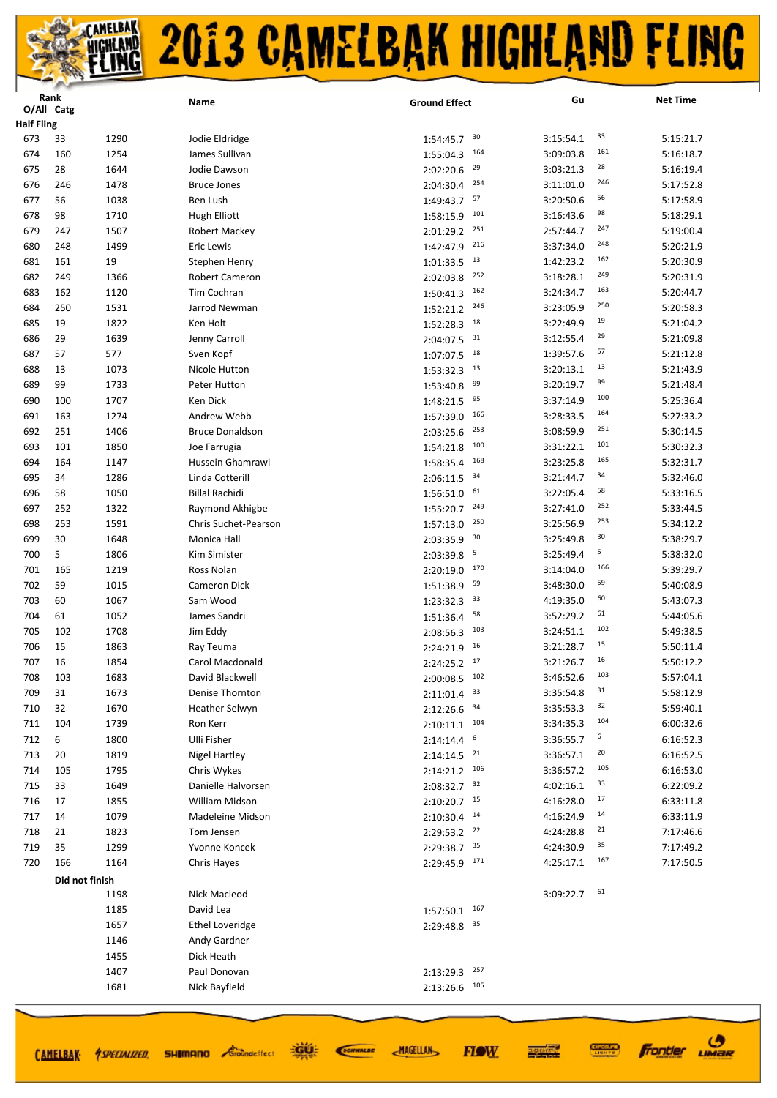|                   | Rank       |                | Name                   | <b>Ground Effect</b>      | Gu        | <b>Net Time</b>  |
|-------------------|------------|----------------|------------------------|---------------------------|-----------|------------------|
| <b>Half Fling</b> | O/All Catg |                |                        |                           |           |                  |
| 673               | 33         | 1290           | Jodie Eldridge         | 30<br>1:54:45.7           | 3:15:54.1 | 33<br>5:15:21.7  |
| 674               | 160        | 1254           | James Sullivan         | 164<br>1:55:04.3          | 3:09:03.8 | 161<br>5:16:18.7 |
| 675               | 28         | 1644           | Jodie Dawson           | 29<br>2:02:20.6           | 3:03:21.3 | 28<br>5:16:19.4  |
| 676               | 246        | 1478           | <b>Bruce Jones</b>     | 254<br>2:04:30.4          | 3:11:01.0 | 246<br>5:17:52.8 |
| 677               | 56         | 1038           | Ben Lush               | 57<br>1:49:43.7           | 3:20:50.6 | 56<br>5:17:58.9  |
| 678               | 98         | 1710           | <b>Hugh Elliott</b>    | 101<br>1:58:15.9          | 3:16:43.6 | 98<br>5:18:29.1  |
| 679               | 247        | 1507           | Robert Mackey          | 251<br>2:01:29.2          | 2:57:44.7 | 247<br>5:19:00.4 |
| 680               | 248        | 1499           | Eric Lewis             | 216<br>1:42:47.9          | 3:37:34.0 | 248<br>5:20:21.9 |
| 681               | 161        | 19             | Stephen Henry          | 13<br>1:01:33.5           | 1:42:23.2 | 162<br>5:20:30.9 |
| 682               | 249        | 1366           | Robert Cameron         | 252<br>2:02:03.8          | 3:18:28.1 | 249<br>5:20:31.9 |
| 683               | 162        | 1120           | Tim Cochran            | 162<br>1:50:41.3          | 3:24:34.7 | 163<br>5:20:44.7 |
| 684               | 250        | 1531           | Jarrod Newman          | 246<br>1:52:21.2          | 3:23:05.9 | 250<br>5:20:58.3 |
| 685               | 19         | 1822           | Ken Holt               | 18<br>1:52:28.3           | 3:22:49.9 | 19<br>5:21:04.2  |
| 686               | 29         | 1639           | Jenny Carroll          | 31<br>2:04:07.5           | 3:12:55.4 | 29<br>5:21:09.8  |
| 687               | 57         | 577            | Sven Kopf              | 18<br>1:07:07.5           | 1:39:57.6 | 57<br>5:21:12.8  |
| 688               | 13         | 1073           | Nicole Hutton          | 13<br>1:53:32.3           | 3:20:13.1 | 13<br>5:21:43.9  |
| 689               | 99         | 1733           | Peter Hutton           | 99<br>1:53:40.8           | 3:20:19.7 | 99<br>5:21:48.4  |
| 690               | 100        | 1707           | Ken Dick               | 95<br>1:48:21.5           | 3:37:14.9 | 100<br>5:25:36.4 |
| 691               | 163        | 1274           | Andrew Webb            | 166<br>1:57:39.0          | 3:28:33.5 | 164<br>5:27:33.2 |
| 692               | 251        | 1406           | <b>Bruce Donaldson</b> | 253<br>2:03:25.6          | 3:08:59.9 | 251<br>5:30:14.5 |
| 693               | 101        | 1850           | Joe Farrugia           | 100<br>1:54:21.8          | 3:31:22.1 | 101<br>5:30:32.3 |
| 694               | 164        | 1147           | Hussein Ghamrawi       | 168<br>1:58:35.4          | 3:23:25.8 | 165<br>5:32:31.7 |
| 695               | 34         | 1286           | Linda Cotterill        | 34<br>2:06:11.5           | 3:21:44.7 | 34<br>5:32:46.0  |
| 696               | 58         | 1050           | <b>Billal Rachidi</b>  | 61<br>1:56:51.0           | 3:22:05.4 | 58<br>5:33:16.5  |
| 697               | 252        | 1322           | Raymond Akhigbe        | 249<br>1:55:20.7          | 3:27:41.0 | 252<br>5:33:44.5 |
| 698               | 253        | 1591           | Chris Suchet-Pearson   | 250<br>1:57:13.0          | 3:25:56.9 | 253<br>5:34:12.2 |
| 699               | 30         | 1648           | Monica Hall            | 30<br>2:03:35.9           | 3:25:49.8 | 30<br>5:38:29.7  |
| 700               | 5          | 1806           | Kim Simister           | 5<br>2:03:39.8            | 3:25:49.4 | 5<br>5:38:32.0   |
| 701               | 165        | 1219           | Ross Nolan             | 170<br>2:20:19.0          | 3:14:04.0 | 166<br>5:39:29.7 |
| 702               | 59         | 1015           | Cameron Dick           | 59<br>1:51:38.9           | 3:48:30.0 | 59<br>5:40:08.9  |
| 703               | 60         | 1067           | Sam Wood               | 33<br>1:23:32.3           | 4:19:35.0 | 60<br>5:43:07.3  |
| 704               | 61         | 1052           | James Sandri           | 58<br>1:51:36.4           | 3:52:29.2 | 61<br>5:44:05.6  |
| 705               | 102        | 1708           | Jim Eddy               | 103<br>2:08:56.3          | 3:24:51.1 | 102<br>5:49:38.5 |
| 706               | 15         | 1863           | Ray Teuma              | 16<br>2:24:21.9           | 3:21:28.7 | 15<br>5:50:11.4  |
| 707               | 16         | 1854           | Carol Macdonald        | $2:24:25.2$ 17            | 3:21:26.7 | 16<br>5:50:12.2  |
| 708               | 103        | 1683           | David Blackwell        | 102<br>2:00:08.5          | 3:46:52.6 | 103<br>5:57:04.1 |
| 709               | 31         | 1673           | Denise Thornton        | $2:11:01.4$ 33            | 3:35:54.8 | 31<br>5:58:12.9  |
| 710               | 32         | 1670           | Heather Selwyn         | $2:12:26.6$ $34$          | 3:35:53.3 | 32<br>5:59:40.1  |
| 711               | 104        | 1739           | Ron Kerr               | $2:10:11.1$ 104           | 3:34:35.3 | 104<br>6:00:32.6 |
| 712               | 6          | 1800           | <b>Ulli Fisher</b>     | $2:14:14.4$ <sup>6</sup>  | 3:36:55.7 | 6<br>6:16:52.3   |
| 713               | 20         | 1819           | <b>Nigel Hartley</b>   | $2:14:14.5$ <sup>21</sup> | 3:36:57.1 | 20<br>6:16:52.5  |
| 714               | 105        | 1795           | Chris Wykes            | $2:14:21.2$ 106           | 3:36:57.2 | 105<br>6:16:53.0 |
| 715               | 33         | 1649           | Danielle Halvorsen     | $2:08:32.7$ 32            | 4:02:16.1 | 33<br>6:22:09.2  |
| 716               | 17         | 1855           | William Midson         | $2:10:20.7$ 15            | 4:16:28.0 | 17<br>6:33:11.8  |
| 717               | 14         | 1079           | Madeleine Midson       | $2:10:30.4$ <sup>14</sup> | 4:16:24.9 | 14<br>6:33:11.9  |
| 718               | 21         | 1823           | Tom Jensen             | $2:29:53.2$ <sup>22</sup> | 4:24:28.8 | 21<br>7:17:46.6  |
| 719               | 35         | 1299           | Yvonne Koncek          | 2:29:38.7 35              | 4:24:30.9 | 35<br>7:17:49.2  |
| 720               | 166        | 1164           | Chris Hayes            | $2:29:45.9$ $171$         | 4:25:17.1 | 167<br>7:17:50.5 |
|                   |            | Did not finish |                        |                           |           |                  |
|                   |            | 1198           | Nick Macleod           |                           | 3:09:22.7 | 61               |
|                   |            | 1185           | David Lea              | 167<br>1:57:50.1          |           |                  |
|                   |            | 1657           | <b>Ethel Loveridge</b> | 2:29:48.8 35              |           |                  |
|                   |            | 1146           | Andy Gardner           |                           |           |                  |
|                   |            | 1455           | Dick Heath             |                           |           |                  |
|                   |            | 1407           | Paul Donovan           | 257<br>2:13:29.3          |           |                  |
|                   |            | 1681           | Nick Bayfield          | 105<br>2:13:26.6          |           |                  |
|                   |            |                |                        |                           |           |                  |

道理

SCIENALDE

CAMELBAK 4 SPECIALIZED, SHIMMANO Croundeffect

**MAGELLAN** 

**Frontier UMBR** 

**CONNECT** 

医硬体质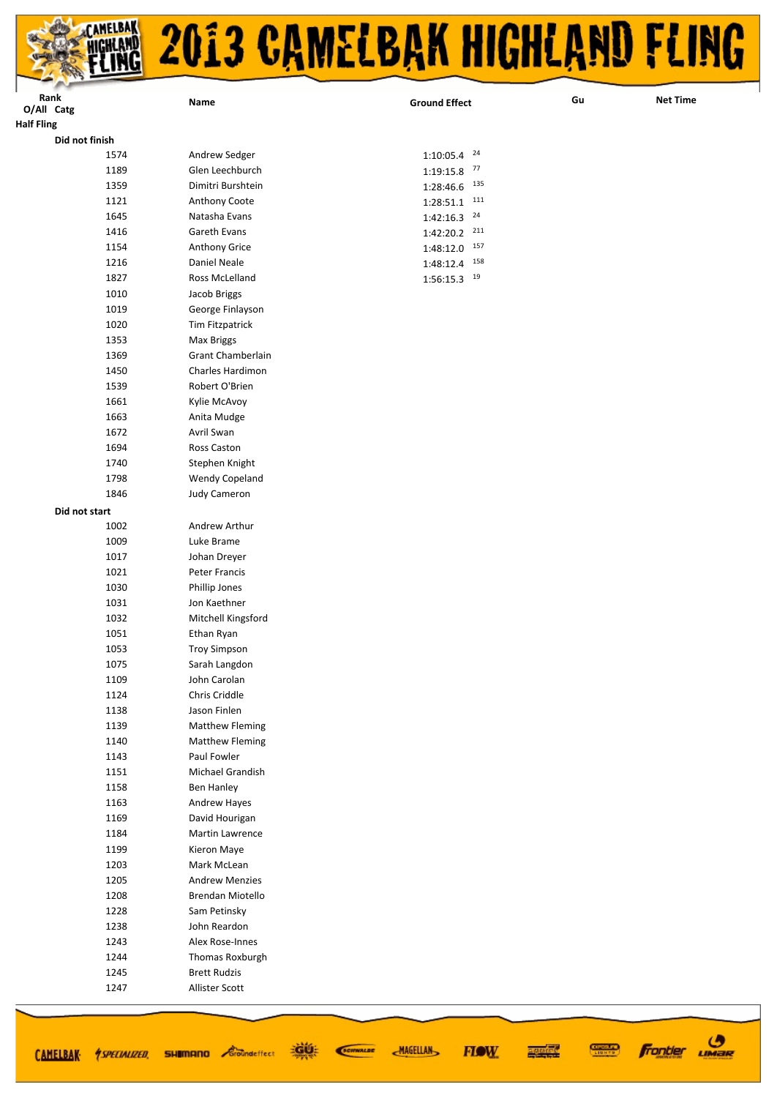| L<br>Rank<br>O/All Catg<br><b>Half Fling</b> | Name                          | <b>Ground Effect</b> | Gu |
|----------------------------------------------|-------------------------------|----------------------|----|
| Did not finish                               |                               |                      |    |
| 1574                                         | Andrew Sedger                 | 24<br>1:10:05.4      |    |
| 1189                                         | Glen Leechburch               | 77<br>1:19:15.8      |    |
| 1359                                         | Dimitri Burshtein             | 135<br>1:28:46.6     |    |
| 1121                                         | Anthony Coote                 | 111<br>1:28:51.1     |    |
| 1645                                         | Natasha Evans                 | 24<br>1:42:16.3      |    |
| 1416                                         | Gareth Evans                  | 211<br>1:42:20.2     |    |
| 1154                                         | Anthony Grice                 | 157<br>1:48:12.0     |    |
| 1216                                         | Daniel Neale                  | 158<br>1:48:12.4     |    |
| 1827                                         | Ross McLelland                | 19<br>1:56:15.3      |    |
| 1010                                         | Jacob Briggs                  |                      |    |
| 1019                                         | George Finlayson              |                      |    |
| 1020                                         | Tim Fitzpatrick               |                      |    |
| 1353                                         | <b>Max Briggs</b>             |                      |    |
| 1369                                         | Grant Chamberlain             |                      |    |
| 1450                                         | Charles Hardimon              |                      |    |
| 1539                                         | Robert O'Brien                |                      |    |
| 1661                                         | Kylie McAvoy                  |                      |    |
| 1663                                         | Anita Mudge                   |                      |    |
| 1672                                         | Avril Swan                    |                      |    |
| 1694                                         | Ross Caston                   |                      |    |
| 1740                                         | Stephen Knight                |                      |    |
| 1798                                         | Wendy Copeland                |                      |    |
| 1846                                         | <b>Judy Cameron</b>           |                      |    |
| Did not start                                |                               |                      |    |
| 1002                                         | Andrew Arthur                 |                      |    |
| 1009                                         | Luke Brame                    |                      |    |
| 1017                                         | Johan Dreyer                  |                      |    |
| 1021                                         | Peter Francis                 |                      |    |
| 1030                                         | Phillip Jones                 |                      |    |
| 1031                                         | Jon Kaethner                  |                      |    |
| 1032                                         | Mitchell Kingsford            |                      |    |
| 1051                                         | Ethan Ryan                    |                      |    |
| 1053                                         | <b>Troy Simpson</b>           |                      |    |
| 1075                                         | Sarah Langdon                 |                      |    |
| 1109                                         | John Carolan                  |                      |    |
| 1124                                         | Chris Criddle<br>Jason Finlen |                      |    |
| 1138<br>1139                                 | <b>Matthew Fleming</b>        |                      |    |
| 1140                                         | <b>Matthew Fleming</b>        |                      |    |
| 1143                                         | Paul Fowler                   |                      |    |
| 1151                                         | Michael Grandish              |                      |    |
| 1158                                         | Ben Hanley                    |                      |    |
| 1163                                         | Andrew Hayes                  |                      |    |
| 1169                                         | David Hourigan                |                      |    |
| 1184                                         | Martin Lawrence               |                      |    |
| 1199                                         | Kieron Maye                   |                      |    |
| 1203                                         | Mark McLean                   |                      |    |
| 1205                                         | <b>Andrew Menzies</b>         |                      |    |
| 1208                                         | Brendan Miotello              |                      |    |
| 1228                                         | Sam Petinsky                  |                      |    |
| 1238                                         | John Reardon                  |                      |    |
| 1243                                         | Alex Rose-Innes               |                      |    |
| 1244                                         | Thomas Roxburgh               |                      |    |
| 1245                                         | <b>Brett Rudzis</b>           |                      |    |
| 1247                                         | Allister Scott                |                      |    |

道纸

SCIENALDE

**MAGELLAN** 



**CONNECT** 

医硬体质

**FIOW** 

**Net Time**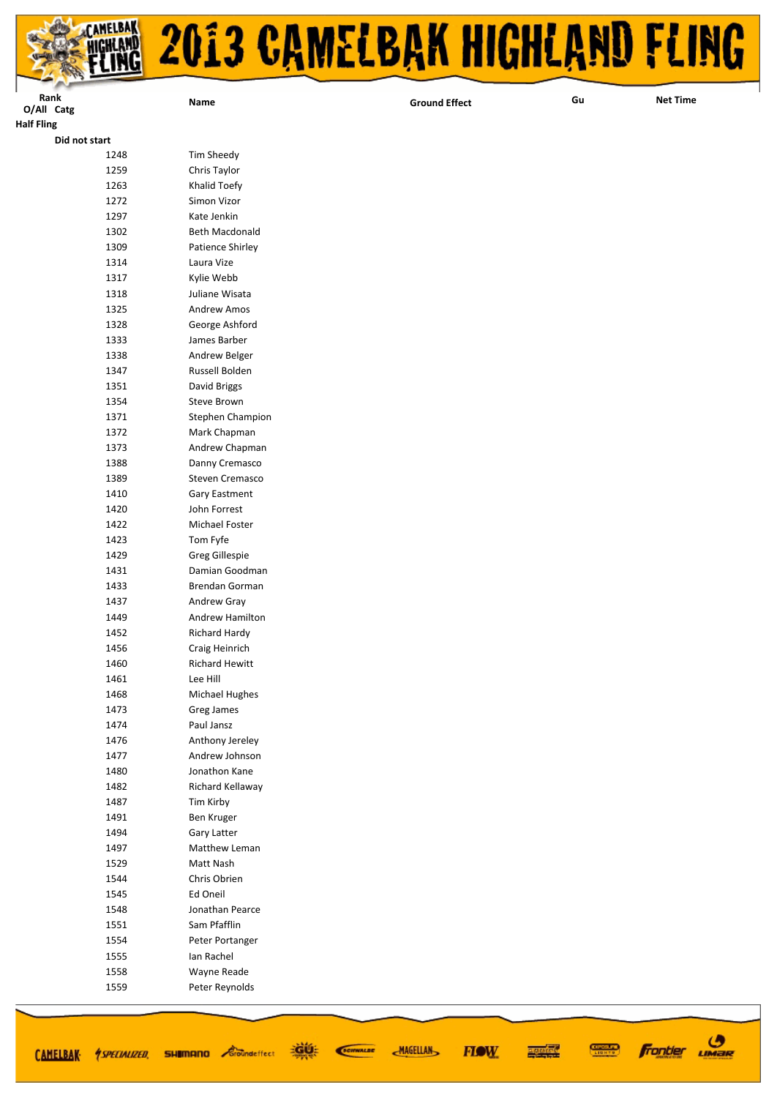

| Rank              | Name                         | <b>Ground Effect</b> | Gu | <b>Net Time</b> |
|-------------------|------------------------------|----------------------|----|-----------------|
| O/All Catg        |                              |                      |    |                 |
| <b>Half Fling</b> |                              |                      |    |                 |
| Did not start     |                              |                      |    |                 |
| 1248<br>1259      | Tim Sheedy                   |                      |    |                 |
| 1263              | Chris Taylor<br>Khalid Toefy |                      |    |                 |
| 1272              | Simon Vizor                  |                      |    |                 |
| 1297              | Kate Jenkin                  |                      |    |                 |
| 1302              | Beth Macdonald               |                      |    |                 |
| 1309              | Patience Shirley             |                      |    |                 |
| 1314              | Laura Vize                   |                      |    |                 |
| 1317              | Kylie Webb                   |                      |    |                 |
| 1318              | Juliane Wisata               |                      |    |                 |
| 1325              | Andrew Amos                  |                      |    |                 |
| 1328              | George Ashford               |                      |    |                 |
| 1333              | James Barber                 |                      |    |                 |
| 1338              | Andrew Belger                |                      |    |                 |
| 1347              | Russell Bolden               |                      |    |                 |
| 1351              | David Briggs                 |                      |    |                 |
| 1354              | Steve Brown                  |                      |    |                 |
| 1371              | Stephen Champion             |                      |    |                 |
| 1372              | Mark Chapman                 |                      |    |                 |
| 1373              | Andrew Chapman               |                      |    |                 |
| 1388              | Danny Cremasco               |                      |    |                 |
| 1389              | Steven Cremasco              |                      |    |                 |
| 1410              | Gary Eastment                |                      |    |                 |
| 1420              | John Forrest                 |                      |    |                 |
| 1422              | Michael Foster               |                      |    |                 |
| 1423              | Tom Fyfe                     |                      |    |                 |
| 1429              | Greg Gillespie               |                      |    |                 |
| 1431              | Damian Goodman               |                      |    |                 |
| 1433              | Brendan Gorman               |                      |    |                 |
| 1437              | Andrew Gray                  |                      |    |                 |
| 1449              | Andrew Hamilton              |                      |    |                 |
| 1452              | Richard Hardy                |                      |    |                 |
| 1456              | Craig Heinrich               |                      |    |                 |
| 1460              | <b>Richard Hewitt</b>        |                      |    |                 |
| 1461              | Lee Hill                     |                      |    |                 |
| 1468              | <b>Michael Hughes</b>        |                      |    |                 |
| 1473<br>1474      | Greg James<br>Paul Jansz     |                      |    |                 |
| 1476              | Anthony Jereley              |                      |    |                 |
| 1477              | Andrew Johnson               |                      |    |                 |
| 1480              | Jonathon Kane                |                      |    |                 |
| 1482              | Richard Kellaway             |                      |    |                 |
| 1487              | Tim Kirby                    |                      |    |                 |
| 1491              | Ben Kruger                   |                      |    |                 |
| 1494              | Gary Latter                  |                      |    |                 |
| 1497              | Matthew Leman                |                      |    |                 |
| 1529              | Matt Nash                    |                      |    |                 |
| 1544              | Chris Obrien                 |                      |    |                 |
| 1545              | Ed Oneil                     |                      |    |                 |
| 1548              | Jonathan Pearce              |                      |    |                 |
| 1551              | Sam Pfafflin                 |                      |    |                 |
| 1554              | Peter Portanger              |                      |    |                 |
| 1555              | Ian Rachel                   |                      |    |                 |
| 1558              | Wayne Reade                  |                      |    |                 |
| 1559              | Peter Reynolds               |                      |    |                 |
|                   |                              |                      |    |                 |

道纸

CAMELBAK *SPECIALIZED* SHUMANO Coundeffect

SCIENALDE

**MAGELLAN** 

**Frontier UMBR** 

**CONNECT** 

医硬体质